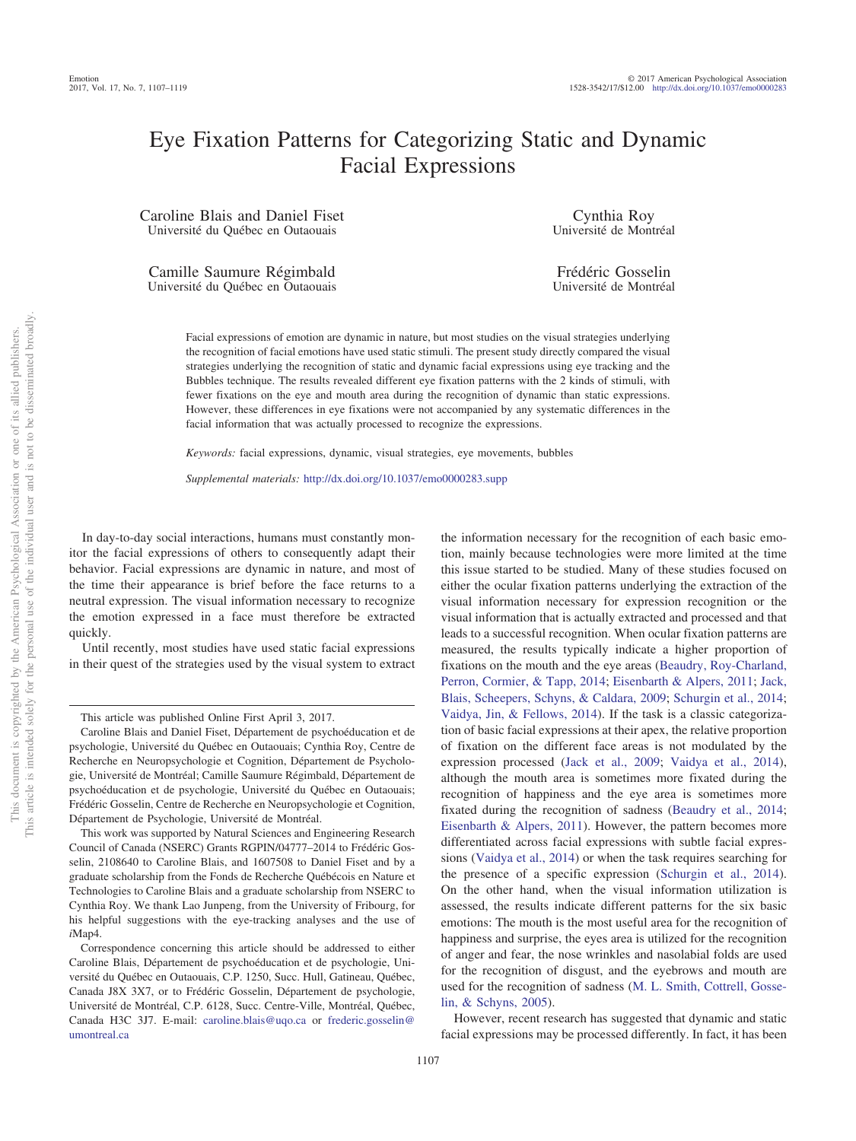# Eye Fixation Patterns for Categorizing Static and Dynamic Facial Expressions

Caroline Blais and Daniel Fiset Université du Québec en Outaouais

Camille Saumure Régimbald Université du Québec en Outaouais

Cynthia Roy Université de Montréal

Frédéric Gosselin Université de Montréal

Facial expressions of emotion are dynamic in nature, but most studies on the visual strategies underlying the recognition of facial emotions have used static stimuli. The present study directly compared the visual strategies underlying the recognition of static and dynamic facial expressions using eye tracking and the Bubbles technique. The results revealed different eye fixation patterns with the 2 kinds of stimuli, with fewer fixations on the eye and mouth area during the recognition of dynamic than static expressions. However, these differences in eye fixations were not accompanied by any systematic differences in the facial information that was actually processed to recognize the expressions.

*Keywords:* facial expressions, dynamic, visual strategies, eye movements, bubbles

*Supplemental materials:* http://dx.doi.org[/10.1037/emo0000283.supp](http://dx.doi.org/10.1037/emo0000283.supp)

In day-to-day social interactions, humans must constantly monitor the facial expressions of others to consequently adapt their behavior. Facial expressions are dynamic in nature, and most of the time their appearance is brief before the face returns to a neutral expression. The visual information necessary to recognize the emotion expressed in a face must therefore be extracted quickly.

Until recently, most studies have used static facial expressions in their quest of the strategies used by the visual system to extract

the information necessary for the recognition of each basic emotion, mainly because technologies were more limited at the time this issue started to be studied. Many of these studies focused on either the ocular fixation patterns underlying the extraction of the visual information necessary for expression recognition or the visual information that is actually extracted and processed and that leads to a successful recognition. When ocular fixation patterns are measured, the results typically indicate a higher proportion of fixations on the mouth and the eye areas [\(Beaudry, Roy-Charland,](#page-10-0) [Perron, Cormier, & Tapp, 2014;](#page-10-0) [Eisenbarth & Alpers, 2011;](#page-11-0) [Jack,](#page-11-1) [Blais, Scheepers, Schyns, & Caldara, 2009;](#page-11-1) [Schurgin et al., 2014;](#page-12-0) [Vaidya, Jin, & Fellows, 2014\)](#page-12-1). If the task is a classic categorization of basic facial expressions at their apex, the relative proportion of fixation on the different face areas is not modulated by the expression processed [\(Jack et al., 2009;](#page-11-1) [Vaidya et al., 2014\)](#page-12-1), although the mouth area is sometimes more fixated during the recognition of happiness and the eye area is sometimes more fixated during the recognition of sadness [\(Beaudry et al., 2014;](#page-10-0) [Eisenbarth & Alpers, 2011\)](#page-11-0). However, the pattern becomes more differentiated across facial expressions with subtle facial expressions [\(Vaidya et al., 2014\)](#page-12-1) or when the task requires searching for the presence of a specific expression [\(Schurgin et al., 2014\)](#page-12-0). On the other hand, when the visual information utilization is assessed, the results indicate different patterns for the six basic emotions: The mouth is the most useful area for the recognition of happiness and surprise, the eyes area is utilized for the recognition of anger and fear, the nose wrinkles and nasolabial folds are used for the recognition of disgust, and the eyebrows and mouth are used for the recognition of sadness [\(M. L. Smith, Cottrell, Gosse](#page-12-2)[lin, & Schyns, 2005\)](#page-12-2).

However, recent research has suggested that dynamic and static facial expressions may be processed differently. In fact, it has been

This article was published Online First April 3, 2017.

Caroline Blais and Daniel Fiset, Département de psychoéducation et de psychologie, Université du Québec en Outaouais; Cynthia Roy, Centre de Recherche en Neuropsychologie et Cognition, Département de Psychologie, Université de Montréal; Camille Saumure Régimbald, Département de psychoéducation et de psychologie, Université du Québec en Outaouais; Frédéric Gosselin, Centre de Recherche en Neuropsychologie et Cognition, Département de Psychologie, Université de Montréal.

This work was supported by Natural Sciences and Engineering Research Council of Canada (NSERC) Grants RGPIN/04777–2014 to Frédéric Gosselin, 2108640 to Caroline Blais, and 1607508 to Daniel Fiset and by a graduate scholarship from the Fonds de Recherche Québécois en Nature et Technologies to Caroline Blais and a graduate scholarship from NSERC to Cynthia Roy. We thank Lao Junpeng, from the University of Fribourg, for his helpful suggestions with the eye-tracking analyses and the use of *i*Map4.

Correspondence concerning this article should be addressed to either Caroline Blais, Département de psychoéducation et de psychologie, Université du Québec en Outaouais, C.P. 1250, Succ. Hull, Gatineau, Québec, Canada J8X 3X7, or to Frédéric Gosselin, Département de psychologie, Université de Montréal, C.P. 6128, Succ. Centre-Ville, Montréal, Québec, Canada H3C 3J7. E-mail: [caroline.blais@uqo.ca](mailto:caroline.blais@uqo.ca) or [frederic.gosselin@](mailto:frederic.gosselin@umontreal.ca) [umontreal.ca](mailto:frederic.gosselin@umontreal.ca)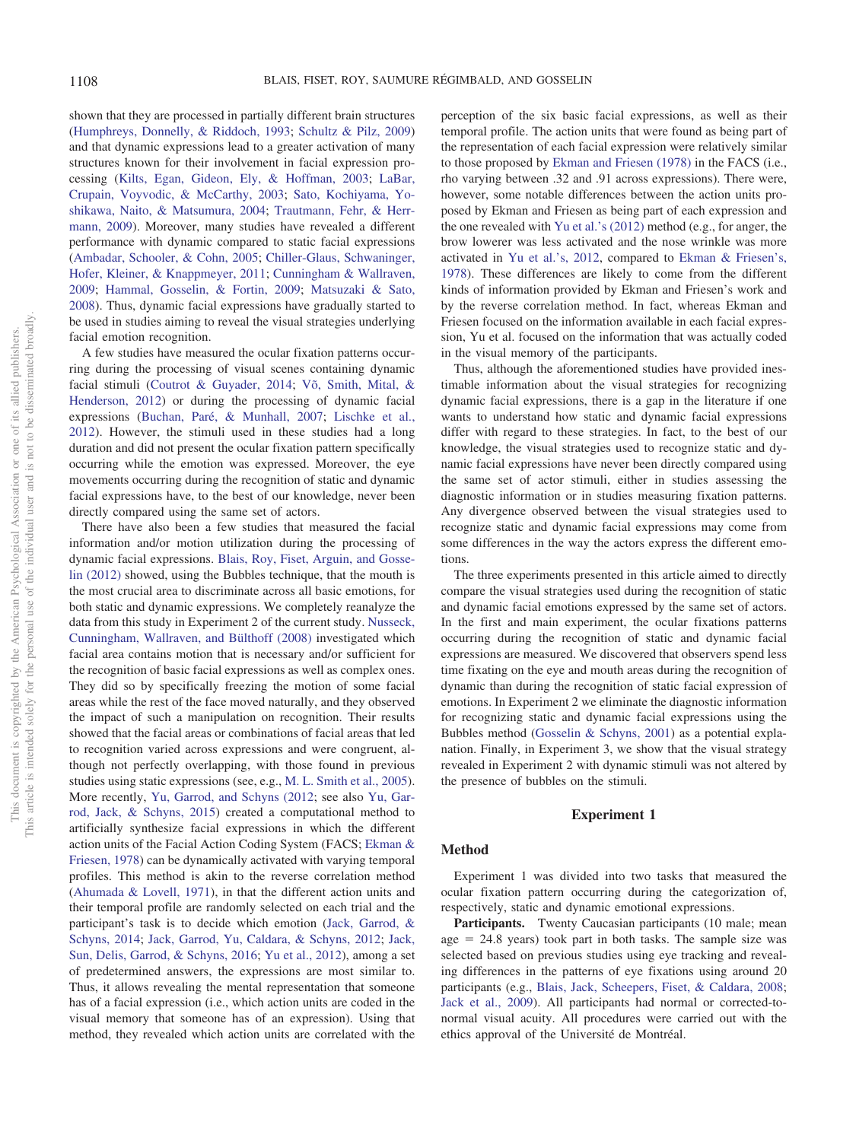shown that they are processed in partially different brain structures [\(Humphreys, Donnelly, & Riddoch, 1993;](#page-11-2) [Schultz & Pilz, 2009\)](#page-11-3) and that dynamic expressions lead to a greater activation of many structures known for their involvement in facial expression processing [\(Kilts, Egan, Gideon, Ely, & Hoffman, 2003;](#page-11-4) [LaBar,](#page-11-5) [Crupain, Voyvodic, & McCarthy, 2003;](#page-11-5) [Sato, Kochiyama, Yo](#page-11-6)[shikawa, Naito, & Matsumura, 2004;](#page-11-6) [Trautmann, Fehr, & Herr](#page-12-3)[mann, 2009\)](#page-12-3). Moreover, many studies have revealed a different performance with dynamic compared to static facial expressions [\(Ambadar, Schooler, & Cohn, 2005;](#page-10-1) [Chiller-Glaus, Schwaninger,](#page-10-2) [Hofer, Kleiner, & Knappmeyer, 2011;](#page-10-2) [Cunningham & Wallraven,](#page-10-3) [2009;](#page-10-3) [Hammal, Gosselin, & Fortin, 2009;](#page-11-7) [Matsuzaki & Sato,](#page-11-8) [2008\)](#page-11-8). Thus, dynamic facial expressions have gradually started to be used in studies aiming to reveal the visual strategies underlying facial emotion recognition.

A few studies have measured the ocular fixation patterns occurring during the processing of visual scenes containing dynamic facial stimuli [\(Coutrot & Guyader, 2014;](#page-10-4) [Võ, Smith, Mital, &](#page-12-4) [Henderson, 2012\)](#page-12-4) or during the processing of dynamic facial expressions [\(Buchan, Paré, & Munhall, 2007;](#page-10-5) [Lischke et al.,](#page-11-9) [2012\)](#page-11-9). However, the stimuli used in these studies had a long duration and did not present the ocular fixation pattern specifically occurring while the emotion was expressed. Moreover, the eye movements occurring during the recognition of static and dynamic facial expressions have, to the best of our knowledge, never been directly compared using the same set of actors.

There have also been a few studies that measured the facial information and/or motion utilization during the processing of dynamic facial expressions. [Blais, Roy, Fiset, Arguin, and Gosse](#page-10-6)[lin \(2012\)](#page-10-6) showed, using the Bubbles technique, that the mouth is the most crucial area to discriminate across all basic emotions, for both static and dynamic expressions. We completely reanalyze the data from this study in Experiment 2 of the current study. [Nusseck,](#page-11-10) [Cunningham, Wallraven, and Bülthoff \(2008\)](#page-11-10) investigated which facial area contains motion that is necessary and/or sufficient for the recognition of basic facial expressions as well as complex ones. They did so by specifically freezing the motion of some facial areas while the rest of the face moved naturally, and they observed the impact of such a manipulation on recognition. Their results showed that the facial areas or combinations of facial areas that led to recognition varied across expressions and were congruent, although not perfectly overlapping, with those found in previous studies using static expressions (see, e.g., [M. L. Smith et al., 2005\)](#page-12-2). More recently, [Yu, Garrod, and Schyns \(2012;](#page-12-5) see also [Yu, Gar](#page-12-6)[rod, Jack, & Schyns, 2015\)](#page-12-6) created a computational method to artificially synthesize facial expressions in which the different action units of the Facial Action Coding System (FACS; [Ekman &](#page-11-11) [Friesen, 1978\)](#page-11-11) can be dynamically activated with varying temporal profiles. This method is akin to the reverse correlation method [\(Ahumada & Lovell, 1971\)](#page-10-7), in that the different action units and their temporal profile are randomly selected on each trial and the participant's task is to decide which emotion [\(Jack, Garrod, &](#page-11-12) [Schyns, 2014;](#page-11-12) [Jack, Garrod, Yu, Caldara, & Schyns, 2012;](#page-11-13) [Jack,](#page-11-14) [Sun, Delis, Garrod, & Schyns, 2016;](#page-11-14) [Yu et al., 2012\)](#page-12-5), among a set of predetermined answers, the expressions are most similar to. Thus, it allows revealing the mental representation that someone has of a facial expression (i.e., which action units are coded in the visual memory that someone has of an expression). Using that method, they revealed which action units are correlated with the

perception of the six basic facial expressions, as well as their temporal profile. The action units that were found as being part of the representation of each facial expression were relatively similar to those proposed by [Ekman and Friesen \(1978\)](#page-11-11) in the FACS (i.e., rho varying between .32 and .91 across expressions). There were, however, some notable differences between the action units proposed by Ekman and Friesen as being part of each expression and the one revealed with [Yu et al.'s \(2012\)](#page-12-5) method (e.g., for anger, the brow lowerer was less activated and the nose wrinkle was more activated in [Yu et al.'s, 2012,](#page-12-5) compared to [Ekman & Friesen's,](#page-11-11) [1978\)](#page-11-11). These differences are likely to come from the different kinds of information provided by Ekman and Friesen's work and by the reverse correlation method. In fact, whereas Ekman and Friesen focused on the information available in each facial expression, Yu et al. focused on the information that was actually coded in the visual memory of the participants.

Thus, although the aforementioned studies have provided inestimable information about the visual strategies for recognizing dynamic facial expressions, there is a gap in the literature if one wants to understand how static and dynamic facial expressions differ with regard to these strategies. In fact, to the best of our knowledge, the visual strategies used to recognize static and dynamic facial expressions have never been directly compared using the same set of actor stimuli, either in studies assessing the diagnostic information or in studies measuring fixation patterns. Any divergence observed between the visual strategies used to recognize static and dynamic facial expressions may come from some differences in the way the actors express the different emotions.

The three experiments presented in this article aimed to directly compare the visual strategies used during the recognition of static and dynamic facial emotions expressed by the same set of actors. In the first and main experiment, the ocular fixations patterns occurring during the recognition of static and dynamic facial expressions are measured. We discovered that observers spend less time fixating on the eye and mouth areas during the recognition of dynamic than during the recognition of static facial expression of emotions. In Experiment 2 we eliminate the diagnostic information for recognizing static and dynamic facial expressions using the Bubbles method [\(Gosselin & Schyns, 2001\)](#page-11-15) as a potential explanation. Finally, in Experiment 3, we show that the visual strategy revealed in Experiment 2 with dynamic stimuli was not altered by the presence of bubbles on the stimuli.

#### **Experiment 1**

#### **Method**

Experiment 1 was divided into two tasks that measured the ocular fixation pattern occurring during the categorization of, respectively, static and dynamic emotional expressions.

Participants. Twenty Caucasian participants (10 male; mean  $age = 24.8 \text{ years}$  took part in both tasks. The sample size was selected based on previous studies using eye tracking and revealing differences in the patterns of eye fixations using around 20 participants (e.g., [Blais, Jack, Scheepers, Fiset, & Caldara, 2008;](#page-10-8) [Jack et al., 2009\)](#page-11-1). All participants had normal or corrected-tonormal visual acuity. All procedures were carried out with the ethics approval of the Université de Montréal.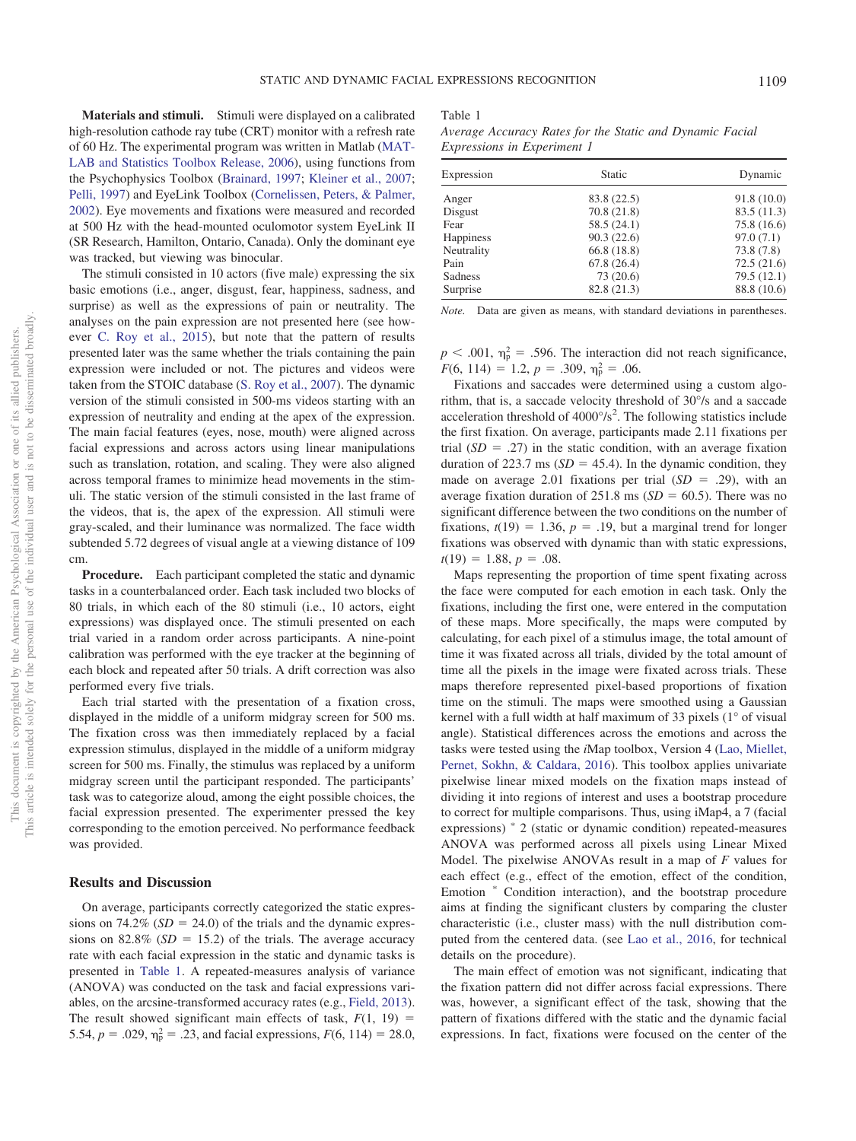**Materials and stimuli.** Stimuli were displayed on a calibrated high-resolution cathode ray tube (CRT) monitor with a refresh rate of 60 Hz. The experimental program was written in Matlab [\(MAT-](#page-11-16)[LAB and Statistics Toolbox Release, 2006\)](#page-11-16), using functions from the Psychophysics Toolbox [\(Brainard, 1997;](#page-10-9) [Kleiner et al., 2007;](#page-11-17) [Pelli, 1997\)](#page-11-18) and EyeLink Toolbox [\(Cornelissen, Peters, & Palmer,](#page-10-10) [2002\)](#page-10-10). Eye movements and fixations were measured and recorded at 500 Hz with the head-mounted oculomotor system EyeLink II (SR Research, Hamilton, Ontario, Canada). Only the dominant eye was tracked, but viewing was binocular.

The stimuli consisted in 10 actors (five male) expressing the six basic emotions (i.e., anger, disgust, fear, happiness, sadness, and surprise) as well as the expressions of pain or neutrality. The analyses on the pain expression are not presented here (see however [C. Roy et al., 2015\)](#page-11-19), but note that the pattern of results presented later was the same whether the trials containing the pain expression were included or not. The pictures and videos were taken from the STOIC database [\(S. Roy et al., 2007\)](#page-11-20). The dynamic version of the stimuli consisted in 500-ms videos starting with an expression of neutrality and ending at the apex of the expression. The main facial features (eyes, nose, mouth) were aligned across facial expressions and across actors using linear manipulations such as translation, rotation, and scaling. They were also aligned across temporal frames to minimize head movements in the stimuli. The static version of the stimuli consisted in the last frame of the videos, that is, the apex of the expression. All stimuli were gray-scaled, and their luminance was normalized. The face width subtended 5.72 degrees of visual angle at a viewing distance of 109 cm.

**Procedure.** Each participant completed the static and dynamic tasks in a counterbalanced order. Each task included two blocks of 80 trials, in which each of the 80 stimuli (i.e., 10 actors, eight expressions) was displayed once. The stimuli presented on each trial varied in a random order across participants. A nine-point calibration was performed with the eye tracker at the beginning of each block and repeated after 50 trials. A drift correction was also performed every five trials.

Each trial started with the presentation of a fixation cross, displayed in the middle of a uniform midgray screen for 500 ms. The fixation cross was then immediately replaced by a facial expression stimulus, displayed in the middle of a uniform midgray screen for 500 ms. Finally, the stimulus was replaced by a uniform midgray screen until the participant responded. The participants' task was to categorize aloud, among the eight possible choices, the facial expression presented. The experimenter pressed the key corresponding to the emotion perceived. No performance feedback was provided.

#### **Results and Discussion**

On average, participants correctly categorized the static expressions on  $74.2\%$  ( $SD = 24.0$ ) of the trials and the dynamic expressions on  $82.8\%$  (*SD* = 15.2) of the trials. The average accuracy rate with each facial expression in the static and dynamic tasks is presented in [Table 1.](#page-2-0) A repeated-measures analysis of variance (ANOVA) was conducted on the task and facial expressions variables, on the arcsine-transformed accuracy rates (e.g., [Field, 2013\)](#page-11-21). The result showed significant main effects of task,  $F(1, 19) =$ 5.54,  $p = .029$ ,  $\eta_p^2 = .23$ , and facial expressions,  $F(6, 114) = 28.0$ ,

#### <span id="page-2-0"></span>Table 1

*Average Accuracy Rates for the Static and Dynamic Facial Expressions in Experiment 1*

| Expression       | <b>Static</b> | Dynamic     |  |  |
|------------------|---------------|-------------|--|--|
| Anger            | 83.8 (22.5)   | 91.8(10.0)  |  |  |
| Disgust          | 70.8(21.8)    | 83.5(11.3)  |  |  |
| Fear             | 58.5(24.1)    | 75.8 (16.6) |  |  |
| <b>Happiness</b> | 90.3(22.6)    | 97.0(7.1)   |  |  |
| Neutrality       | 66.8(18.8)    | 73.8 (7.8)  |  |  |
| Pain             | 67.8(26.4)    | 72.5(21.6)  |  |  |
| Sadness          | 73 (20.6)     | 79.5(12.1)  |  |  |
| Surprise         | 82.8 (21.3)   | 88.8 (10.6) |  |  |

*Note.* Data are given as means, with standard deviations in parentheses.

 $p < .001$ ,  $\eta_p^2 = .596$ . The interaction did not reach significance,  $F(6, 114) = 1.2, p = .309, \eta_p^2 = .06.$ 

Fixations and saccades were determined using a custom algorithm, that is, a saccade velocity threshold of 30°/s and a saccade acceleration threshold of  $4000^{\circ}/s^2$ . The following statistics include the first fixation. On average, participants made 2.11 fixations per trial  $(SD = .27)$  in the static condition, with an average fixation duration of 223.7 ms  $(SD = 45.4)$ . In the dynamic condition, they made on average 2.01 fixations per trial  $(SD = .29)$ , with an average fixation duration of  $251.8 \text{ ms } (SD = 60.5)$ . There was no significant difference between the two conditions on the number of fixations,  $t(19) = 1.36$ ,  $p = .19$ , but a marginal trend for longer fixations was observed with dynamic than with static expressions,  $t(19) = 1.88, p = .08.$ 

Maps representing the proportion of time spent fixating across the face were computed for each emotion in each task. Only the fixations, including the first one, were entered in the computation of these maps. More specifically, the maps were computed by calculating, for each pixel of a stimulus image, the total amount of time it was fixated across all trials, divided by the total amount of time all the pixels in the image were fixated across trials. These maps therefore represented pixel-based proportions of fixation time on the stimuli. The maps were smoothed using a Gaussian kernel with a full width at half maximum of 33 pixels (1° of visual angle). Statistical differences across the emotions and across the tasks were tested using the *i*Map toolbox, Version 4 [\(Lao, Miellet,](#page-11-22) [Pernet, Sokhn, & Caldara, 2016\)](#page-11-22). This toolbox applies univariate pixelwise linear mixed models on the fixation maps instead of dividing it into regions of interest and uses a bootstrap procedure to correct for multiple comparisons. Thus, using iMap4, a 7 (facial expressions) \* 2 (static or dynamic condition) repeated-measures ANOVA was performed across all pixels using Linear Mixed Model. The pixelwise ANOVAs result in a map of *F* values for each effect (e.g., effect of the emotion, effect of the condition, Emotion \* Condition interaction), and the bootstrap procedure aims at finding the significant clusters by comparing the cluster characteristic (i.e., cluster mass) with the null distribution computed from the centered data. (see [Lao et al., 2016,](#page-11-22) for technical details on the procedure).

The main effect of emotion was not significant, indicating that the fixation pattern did not differ across facial expressions. There was, however, a significant effect of the task, showing that the pattern of fixations differed with the static and the dynamic facial expressions. In fact, fixations were focused on the center of the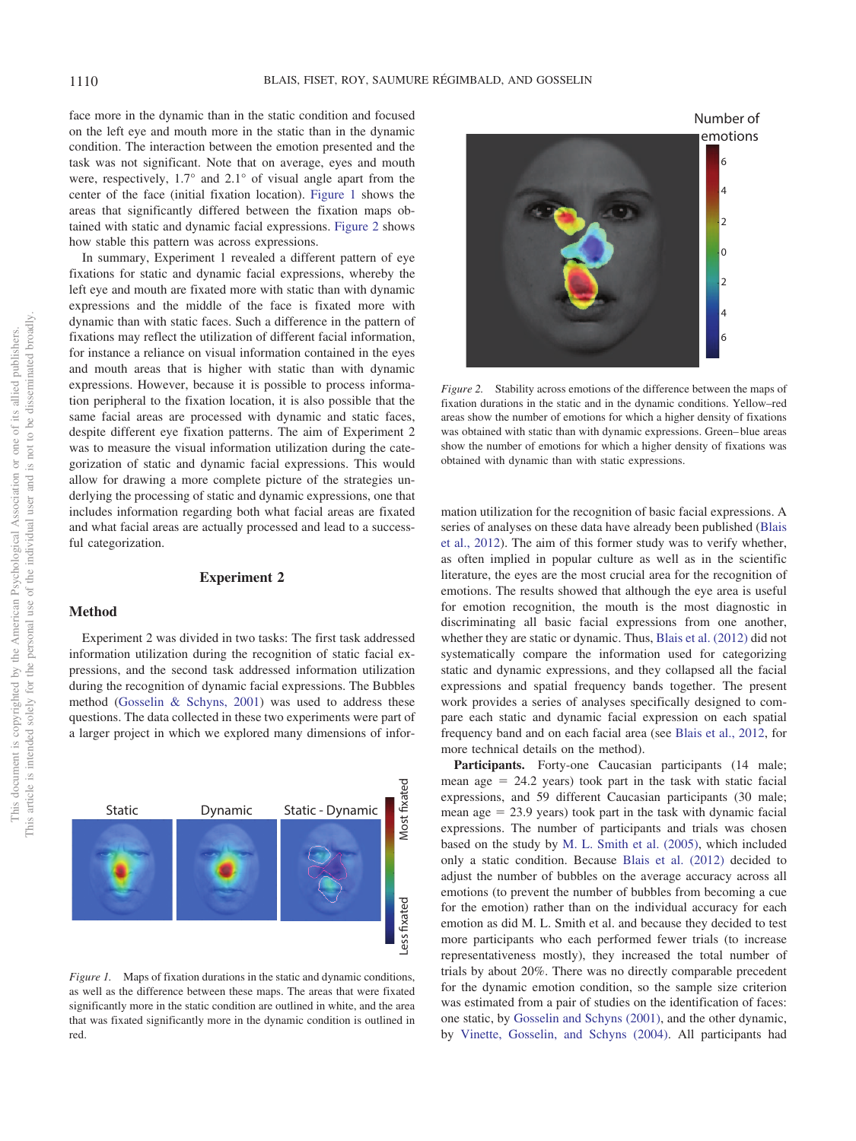face more in the dynamic than in the static condition and focused on the left eye and mouth more in the static than in the dynamic condition. The interaction between the emotion presented and the task was not significant. Note that on average, eyes and mouth were, respectively, 1.7° and 2.1° of visual angle apart from the center of the face (initial fixation location). [Figure 1](#page-3-0) shows the areas that significantly differed between the fixation maps obtained with static and dynamic facial expressions. [Figure 2](#page-3-1) shows how stable this pattern was across expressions.

In summary, Experiment 1 revealed a different pattern of eye fixations for static and dynamic facial expressions, whereby the left eye and mouth are fixated more with static than with dynamic expressions and the middle of the face is fixated more with dynamic than with static faces. Such a difference in the pattern of fixations may reflect the utilization of different facial information, for instance a reliance on visual information contained in the eyes and mouth areas that is higher with static than with dynamic expressions. However, because it is possible to process information peripheral to the fixation location, it is also possible that the same facial areas are processed with dynamic and static faces, despite different eye fixation patterns. The aim of Experiment 2 was to measure the visual information utilization during the categorization of static and dynamic facial expressions. This would allow for drawing a more complete picture of the strategies underlying the processing of static and dynamic expressions, one that includes information regarding both what facial areas are fixated and what facial areas are actually processed and lead to a successful categorization.

#### **Experiment 2**

### **Method**

Experiment 2 was divided in two tasks: The first task addressed information utilization during the recognition of static facial expressions, and the second task addressed information utilization during the recognition of dynamic facial expressions. The Bubbles method [\(Gosselin & Schyns, 2001\)](#page-11-15) was used to address these questions. The data collected in these two experiments were part of a larger project in which we explored many dimensions of infor-



<span id="page-3-0"></span>*Figure 1.* Maps of fixation durations in the static and dynamic conditions, as well as the difference between these maps. The areas that were fixated significantly more in the static condition are outlined in white, and the area that was fixated significantly more in the dynamic condition is outlined in red.



<span id="page-3-1"></span>*Figure 2.* Stability across emotions of the difference between the maps of fixation durations in the static and in the dynamic conditions. Yellow–red areas show the number of emotions for which a higher density of fixations was obtained with static than with dynamic expressions. Green– blue areas show the number of emotions for which a higher density of fixations was obtained with dynamic than with static expressions.

mation utilization for the recognition of basic facial expressions. A series of analyses on these data have already been published [\(Blais](#page-10-6) [et al., 2012\)](#page-10-6). The aim of this former study was to verify whether, as often implied in popular culture as well as in the scientific literature, the eyes are the most crucial area for the recognition of emotions. The results showed that although the eye area is useful for emotion recognition, the mouth is the most diagnostic in discriminating all basic facial expressions from one another, whether they are static or dynamic. Thus, [Blais et al. \(2012\)](#page-10-6) did not systematically compare the information used for categorizing static and dynamic expressions, and they collapsed all the facial expressions and spatial frequency bands together. The present work provides a series of analyses specifically designed to compare each static and dynamic facial expression on each spatial frequency band and on each facial area (see [Blais et al., 2012,](#page-10-6) for more technical details on the method).

Participants. Forty-one Caucasian participants (14 male; mean  $\text{age} = 24.2 \text{ years}$  took part in the task with static facial expressions, and 59 different Caucasian participants (30 male; mean  $age = 23.9$  years) took part in the task with dynamic facial expressions. The number of participants and trials was chosen based on the study by [M. L. Smith et al. \(2005\),](#page-12-2) which included only a static condition. Because [Blais et al. \(2012\)](#page-10-6) decided to adjust the number of bubbles on the average accuracy across all emotions (to prevent the number of bubbles from becoming a cue for the emotion) rather than on the individual accuracy for each emotion as did M. L. Smith et al. and because they decided to test more participants who each performed fewer trials (to increase representativeness mostly), they increased the total number of trials by about 20%. There was no directly comparable precedent for the dynamic emotion condition, so the sample size criterion was estimated from a pair of studies on the identification of faces: one static, by [Gosselin and Schyns \(2001\),](#page-11-15) and the other dynamic, by [Vinette, Gosselin, and Schyns \(2004\).](#page-12-7) All participants had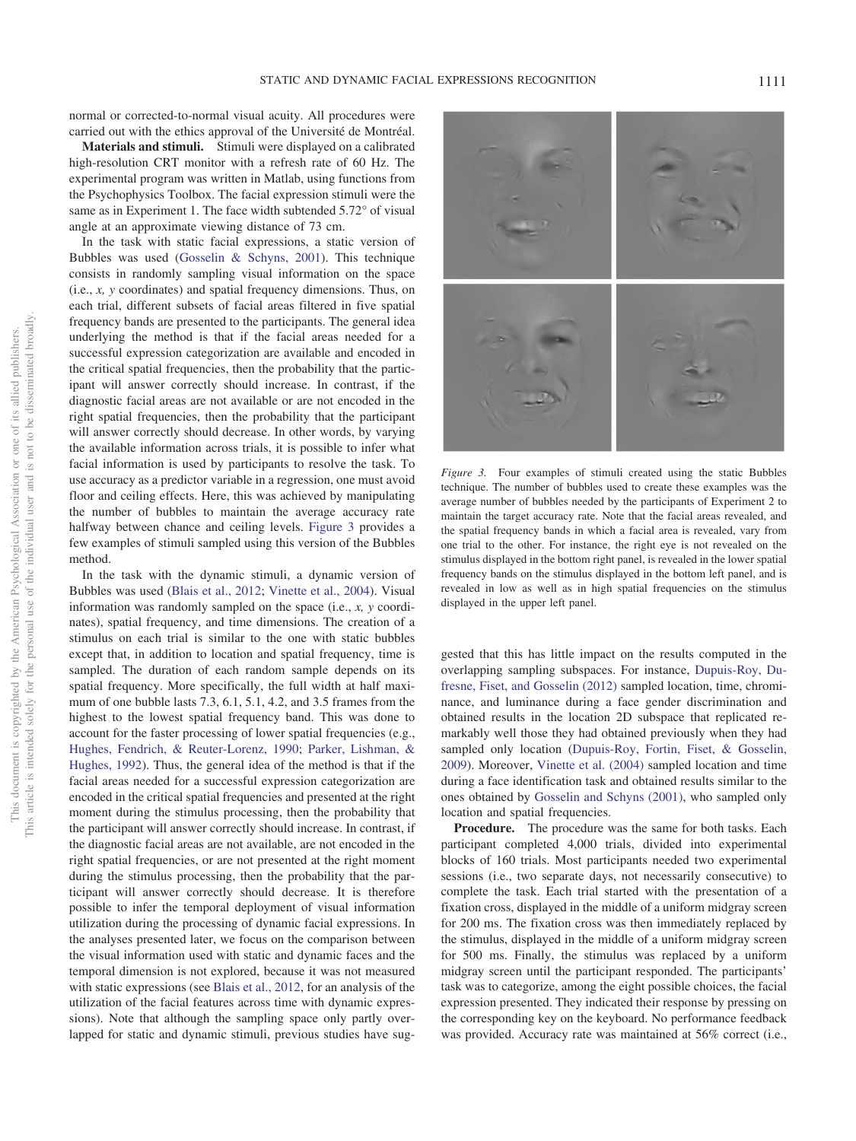normal or corrected-to-normal visual acuity. All procedures were carried out with the ethics approval of the Université de Montréal.

**Materials and stimuli.** Stimuli were displayed on a calibrated high-resolution CRT monitor with a refresh rate of 60 Hz. The experimental program was written in Matlab, using functions from the Psychophysics Toolbox. The facial expression stimuli were the same as in Experiment 1. The face width subtended 5.72° of visual angle at an approximate viewing distance of 73 cm.

In the task with static facial expressions, a static version of Bubbles was used [\(Gosselin & Schyns, 2001\)](#page-11-15). This technique consists in randomly sampling visual information on the space (i.e., *x, y* coordinates) and spatial frequency dimensions. Thus, on each trial, different subsets of facial areas filtered in five spatial frequency bands are presented to the participants. The general idea underlying the method is that if the facial areas needed for a successful expression categorization are available and encoded in the critical spatial frequencies, then the probability that the participant will answer correctly should increase. In contrast, if the diagnostic facial areas are not available or are not encoded in the right spatial frequencies, then the probability that the participant will answer correctly should decrease. In other words, by varying the available information across trials, it is possible to infer what facial information is used by participants to resolve the task. To use accuracy as a predictor variable in a regression, one must avoid floor and ceiling effects. Here, this was achieved by manipulating the number of bubbles to maintain the average accuracy rate halfway between chance and ceiling levels. [Figure 3](#page-4-0) provides a few examples of stimuli sampled using this version of the Bubbles method.

In the task with the dynamic stimuli, a dynamic version of Bubbles was used [\(Blais et al., 2012;](#page-10-6) [Vinette et al., 2004\)](#page-12-7). Visual information was randomly sampled on the space (i.e., *x, y* coordinates), spatial frequency, and time dimensions. The creation of a stimulus on each trial is similar to the one with static bubbles except that, in addition to location and spatial frequency, time is sampled. The duration of each random sample depends on its spatial frequency. More specifically, the full width at half maximum of one bubble lasts 7.3, 6.1, 5.1, 4.2, and 3.5 frames from the highest to the lowest spatial frequency band. This was done to account for the faster processing of lower spatial frequencies (e.g., [Hughes, Fendrich, & Reuter-Lorenz, 1990;](#page-11-23) [Parker, Lishman, &](#page-11-24) [Hughes, 1992\)](#page-11-24). Thus, the general idea of the method is that if the facial areas needed for a successful expression categorization are encoded in the critical spatial frequencies and presented at the right moment during the stimulus processing, then the probability that the participant will answer correctly should increase. In contrast, if the diagnostic facial areas are not available, are not encoded in the right spatial frequencies, or are not presented at the right moment during the stimulus processing, then the probability that the participant will answer correctly should decrease. It is therefore possible to infer the temporal deployment of visual information utilization during the processing of dynamic facial expressions. In the analyses presented later, we focus on the comparison between the visual information used with static and dynamic faces and the temporal dimension is not explored, because it was not measured with static expressions (see [Blais et al., 2012,](#page-10-6) for an analysis of the utilization of the facial features across time with dynamic expressions). Note that although the sampling space only partly overlapped for static and dynamic stimuli, previous studies have sug-



<span id="page-4-0"></span>*Figure 3.* Four examples of stimuli created using the static Bubbles technique. The number of bubbles used to create these examples was the average number of bubbles needed by the participants of Experiment 2 to maintain the target accuracy rate. Note that the facial areas revealed, and the spatial frequency bands in which a facial area is revealed, vary from one trial to the other. For instance, the right eye is not revealed on the stimulus displayed in the bottom right panel, is revealed in the lower spatial frequency bands on the stimulus displayed in the bottom left panel, and is revealed in low as well as in high spatial frequencies on the stimulus displayed in the upper left panel.

gested that this has little impact on the results computed in the overlapping sampling subspaces. For instance, [Dupuis-Roy, Du](#page-10-11)[fresne, Fiset, and Gosselin \(2012\)](#page-10-11) sampled location, time, chrominance, and luminance during a face gender discrimination and obtained results in the location 2D subspace that replicated remarkably well those they had obtained previously when they had sampled only location [\(Dupuis-Roy, Fortin, Fiset, & Gosselin,](#page-10-12) [2009\)](#page-10-12). Moreover, [Vinette et al. \(2004\)](#page-12-7) sampled location and time during a face identification task and obtained results similar to the ones obtained by [Gosselin and Schyns \(2001\),](#page-11-15) who sampled only location and spatial frequencies.

**Procedure.** The procedure was the same for both tasks. Each participant completed 4,000 trials, divided into experimental blocks of 160 trials. Most participants needed two experimental sessions (i.e., two separate days, not necessarily consecutive) to complete the task. Each trial started with the presentation of a fixation cross, displayed in the middle of a uniform midgray screen for 200 ms. The fixation cross was then immediately replaced by the stimulus, displayed in the middle of a uniform midgray screen for 500 ms. Finally, the stimulus was replaced by a uniform midgray screen until the participant responded. The participants' task was to categorize, among the eight possible choices, the facial expression presented. They indicated their response by pressing on the corresponding key on the keyboard. No performance feedback was provided. Accuracy rate was maintained at 56% correct (i.e.,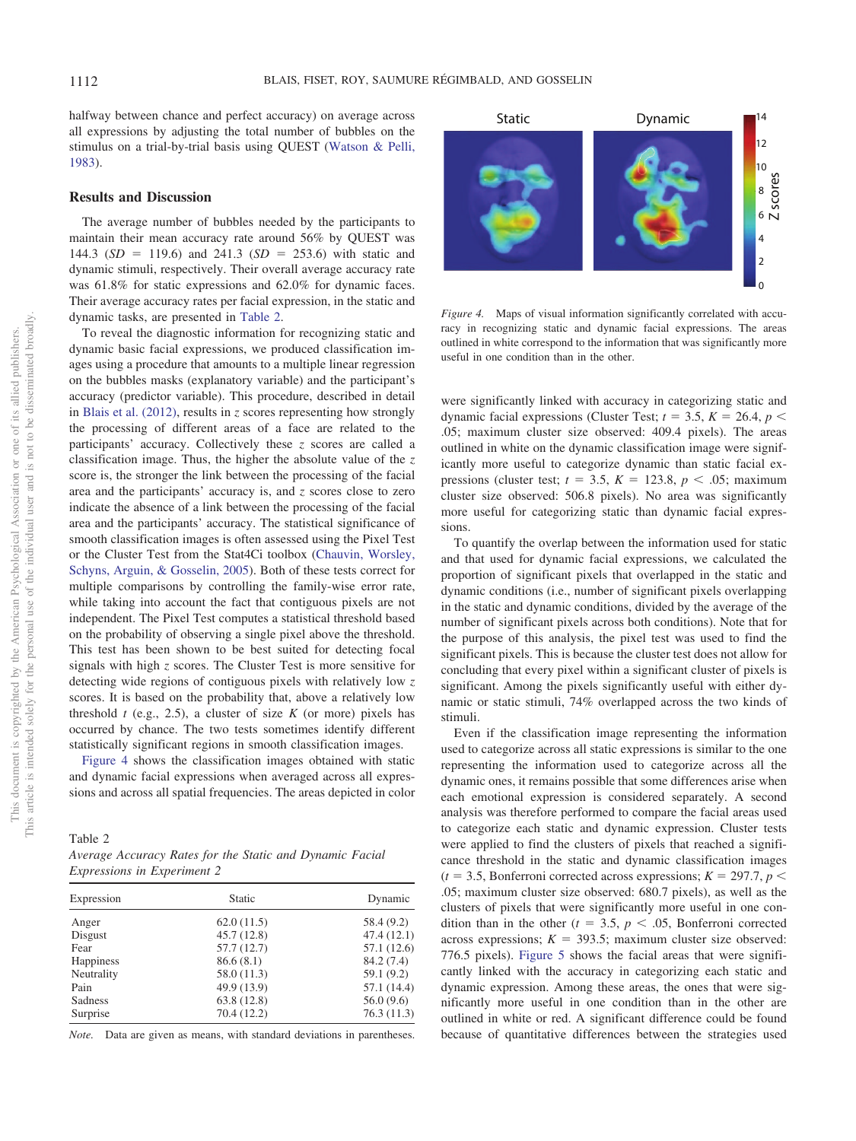halfway between chance and perfect accuracy) on average across all expressions by adjusting the total number of bubbles on the stimulus on a trial-by-trial basis using QUEST [\(Watson & Pelli,](#page-12-8) [1983\)](#page-12-8).

#### **Results and Discussion**

The average number of bubbles needed by the participants to maintain their mean accuracy rate around 56% by QUEST was 144.3  $(SD = 119.6)$  and 241.3  $(SD = 253.6)$  with static and dynamic stimuli, respectively. Their overall average accuracy rate was 61.8% for static expressions and 62.0% for dynamic faces. Their average accuracy rates per facial expression, in the static and dynamic tasks, are presented in [Table 2.](#page-5-0)

To reveal the diagnostic information for recognizing static and dynamic basic facial expressions, we produced classification images using a procedure that amounts to a multiple linear regression on the bubbles masks (explanatory variable) and the participant's accuracy (predictor variable). This procedure, described in detail in [Blais et al. \(2012\),](#page-10-6) results in *z* scores representing how strongly the processing of different areas of a face are related to the participants' accuracy. Collectively these *z* scores are called a classification image. Thus, the higher the absolute value of the *z* score is, the stronger the link between the processing of the facial area and the participants' accuracy is, and *z* scores close to zero indicate the absence of a link between the processing of the facial area and the participants' accuracy. The statistical significance of smooth classification images is often assessed using the Pixel Test or the Cluster Test from the Stat4Ci toolbox [\(Chauvin, Worsley,](#page-10-13) [Schyns, Arguin, & Gosselin, 2005\)](#page-10-13). Both of these tests correct for multiple comparisons by controlling the family-wise error rate, while taking into account the fact that contiguous pixels are not independent. The Pixel Test computes a statistical threshold based on the probability of observing a single pixel above the threshold. This test has been shown to be best suited for detecting focal signals with high *z* scores. The Cluster Test is more sensitive for detecting wide regions of contiguous pixels with relatively low *z* scores. It is based on the probability that, above a relatively low threshold  $t$  (e.g., 2.5), a cluster of size  $K$  (or more) pixels has occurred by chance. The two tests sometimes identify different statistically significant regions in smooth classification images.

[Figure 4](#page-5-1) shows the classification images obtained with static and dynamic facial expressions when averaged across all expressions and across all spatial frequencies. The areas depicted in color

<span id="page-5-0"></span>Table 2

| Average Accuracy Rates for the Static and Dynamic Facial |  |  |  |
|----------------------------------------------------------|--|--|--|
| <i>Expressions in Experiment 2</i>                       |  |  |  |

| <b>Static</b> | Dynamic                                 |  |
|---------------|-----------------------------------------|--|
| 62.0(11.5)    | 58.4(9.2)                               |  |
| 45.7(12.8)    | 47.4(12.1)                              |  |
| 57.7(12.7)    | 57.1 (12.6)                             |  |
| 86.6(8.1)     | 84.2 (7.4)                              |  |
|               | 59.1(9.2)                               |  |
|               | 57.1 (14.4)                             |  |
|               | 56.0(9.6)                               |  |
| 70.4(12.2)    | 76.3(11.3)                              |  |
|               | 58.0(11.3)<br>49.9 (13.9)<br>63.8(12.8) |  |

*Note.* Data are given as means, with standard deviations in parentheses.



<span id="page-5-1"></span>*Figure 4.* Maps of visual information significantly correlated with accuracy in recognizing static and dynamic facial expressions. The areas outlined in white correspond to the information that was significantly more useful in one condition than in the other.

were significantly linked with accuracy in categorizing static and dynamic facial expressions (Cluster Test;  $t = 3.5$ ,  $K = 26.4$ ,  $p <$ .05; maximum cluster size observed: 409.4 pixels). The areas outlined in white on the dynamic classification image were significantly more useful to categorize dynamic than static facial expressions (cluster test;  $t = 3.5$ ,  $K = 123.8$ ,  $p < .05$ ; maximum cluster size observed: 506.8 pixels). No area was significantly more useful for categorizing static than dynamic facial expressions.

To quantify the overlap between the information used for static and that used for dynamic facial expressions, we calculated the proportion of significant pixels that overlapped in the static and dynamic conditions (i.e., number of significant pixels overlapping in the static and dynamic conditions, divided by the average of the number of significant pixels across both conditions). Note that for the purpose of this analysis, the pixel test was used to find the significant pixels. This is because the cluster test does not allow for concluding that every pixel within a significant cluster of pixels is significant. Among the pixels significantly useful with either dynamic or static stimuli, 74% overlapped across the two kinds of stimuli.

Even if the classification image representing the information used to categorize across all static expressions is similar to the one representing the information used to categorize across all the dynamic ones, it remains possible that some differences arise when each emotional expression is considered separately. A second analysis was therefore performed to compare the facial areas used to categorize each static and dynamic expression. Cluster tests were applied to find the clusters of pixels that reached a significance threshold in the static and dynamic classification images  $(t = 3.5,$  Bonferroni corrected across expressions;  $K = 297.7, p \le$ .05; maximum cluster size observed: 680.7 pixels), as well as the clusters of pixels that were significantly more useful in one condition than in the other ( $t = 3.5$ ,  $p < .05$ , Bonferroni corrected across expressions;  $K = 393.5$ ; maximum cluster size observed: 776.5 pixels). [Figure 5](#page-6-0) shows the facial areas that were significantly linked with the accuracy in categorizing each static and dynamic expression. Among these areas, the ones that were significantly more useful in one condition than in the other are outlined in white or red. A significant difference could be found because of quantitative differences between the strategies used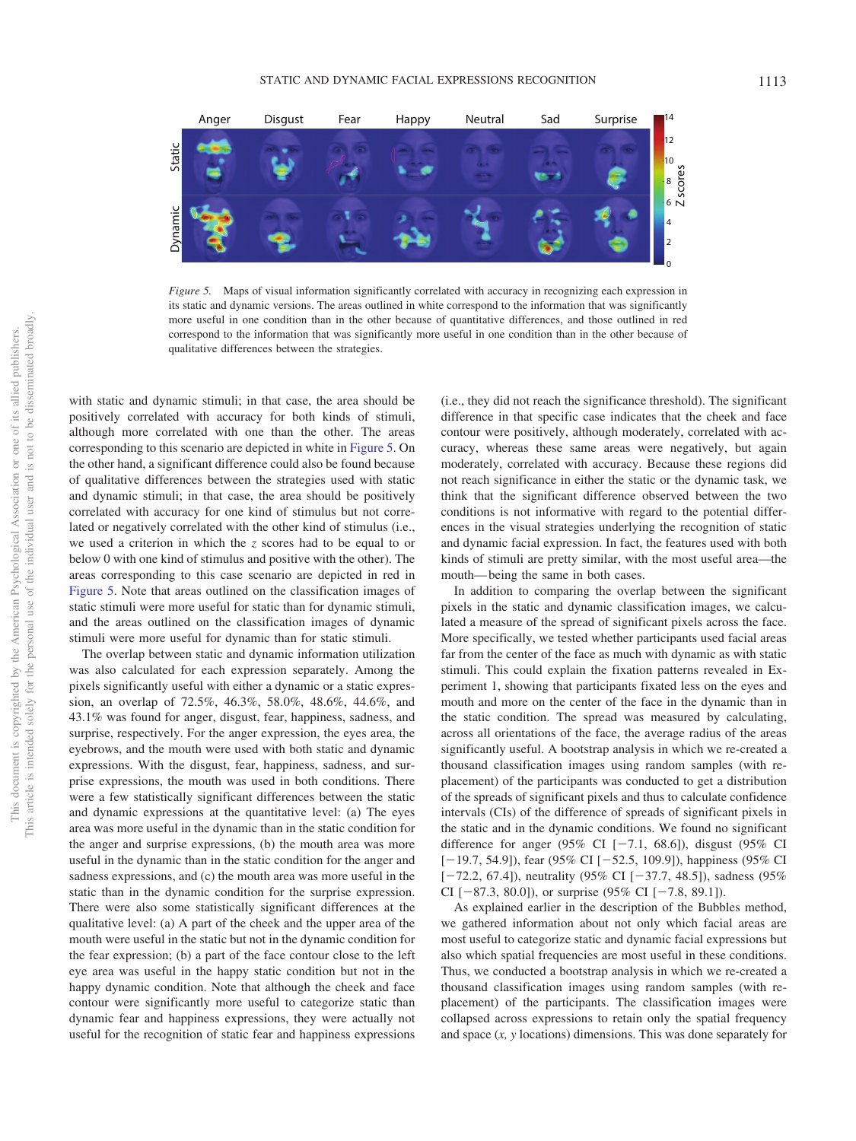

<span id="page-6-0"></span>*Figure 5.* Maps of visual information significantly correlated with accuracy in recognizing each expression in its static and dynamic versions. The areas outlined in white correspond to the information that was significantly more useful in one condition than in the other because of quantitative differences, and those outlined in red correspond to the information that was significantly more useful in one condition than in the other because of qualitative differences between the strategies.

with static and dynamic stimuli; in that case, the area should be positively correlated with accuracy for both kinds of stimuli, although more correlated with one than the other. The areas corresponding to this scenario are depicted in white in [Figure 5.](#page-6-0) On the other hand, a significant difference could also be found because of qualitative differences between the strategies used with static and dynamic stimuli; in that case, the area should be positively correlated with accuracy for one kind of stimulus but not correlated or negatively correlated with the other kind of stimulus (i.e., we used a criterion in which the *z* scores had to be equal to or below 0 with one kind of stimulus and positive with the other). The areas corresponding to this case scenario are depicted in red in [Figure 5.](#page-6-0) Note that areas outlined on the classification images of static stimuli were more useful for static than for dynamic stimuli, and the areas outlined on the classification images of dynamic stimuli were more useful for dynamic than for static stimuli.

The overlap between static and dynamic information utilization was also calculated for each expression separately. Among the pixels significantly useful with either a dynamic or a static expression, an overlap of 72.5%, 46.3%, 58.0%, 48.6%, 44.6%, and 43.1% was found for anger, disgust, fear, happiness, sadness, and surprise, respectively. For the anger expression, the eyes area, the eyebrows, and the mouth were used with both static and dynamic expressions. With the disgust, fear, happiness, sadness, and surprise expressions, the mouth was used in both conditions. There were a few statistically significant differences between the static and dynamic expressions at the quantitative level: (a) The eyes area was more useful in the dynamic than in the static condition for the anger and surprise expressions, (b) the mouth area was more useful in the dynamic than in the static condition for the anger and sadness expressions, and (c) the mouth area was more useful in the static than in the dynamic condition for the surprise expression. There were also some statistically significant differences at the qualitative level: (a) A part of the cheek and the upper area of the mouth were useful in the static but not in the dynamic condition for the fear expression; (b) a part of the face contour close to the left eye area was useful in the happy static condition but not in the happy dynamic condition. Note that although the cheek and face contour were significantly more useful to categorize static than dynamic fear and happiness expressions, they were actually not useful for the recognition of static fear and happiness expressions

(i.e., they did not reach the significance threshold). The significant difference in that specific case indicates that the cheek and face contour were positively, although moderately, correlated with accuracy, whereas these same areas were negatively, but again moderately, correlated with accuracy. Because these regions did not reach significance in either the static or the dynamic task, we think that the significant difference observed between the two conditions is not informative with regard to the potential differences in the visual strategies underlying the recognition of static and dynamic facial expression. In fact, the features used with both kinds of stimuli are pretty similar, with the most useful area—the mouth— being the same in both cases.

In addition to comparing the overlap between the significant pixels in the static and dynamic classification images, we calculated a measure of the spread of significant pixels across the face. More specifically, we tested whether participants used facial areas far from the center of the face as much with dynamic as with static stimuli. This could explain the fixation patterns revealed in Experiment 1, showing that participants fixated less on the eyes and mouth and more on the center of the face in the dynamic than in the static condition. The spread was measured by calculating, across all orientations of the face, the average radius of the areas significantly useful. A bootstrap analysis in which we re-created a thousand classification images using random samples (with replacement) of the participants was conducted to get a distribution of the spreads of significant pixels and thus to calculate confidence intervals (CIs) of the difference of spreads of significant pixels in the static and in the dynamic conditions. We found no significant difference for anger (95% CI  $[-7.1, 68.6]$ ), disgust (95% CI  $[-19.7, 54.9]$ ), fear (95% CI  $[-52.5, 109.9]$ ), happiness (95% CI  $[-72.2, 67.4]$ ), neutrality (95% CI  $[-37.7, 48.5]$ ), sadness (95%) CI  $[-87.3, 80.0]$ , or surprise (95% CI  $[-7.8, 89.1]$ ).

As explained earlier in the description of the Bubbles method, we gathered information about not only which facial areas are most useful to categorize static and dynamic facial expressions but also which spatial frequencies are most useful in these conditions. Thus, we conducted a bootstrap analysis in which we re-created a thousand classification images using random samples (with replacement) of the participants. The classification images were collapsed across expressions to retain only the spatial frequency and space (*x, y* locations) dimensions. This was done separately for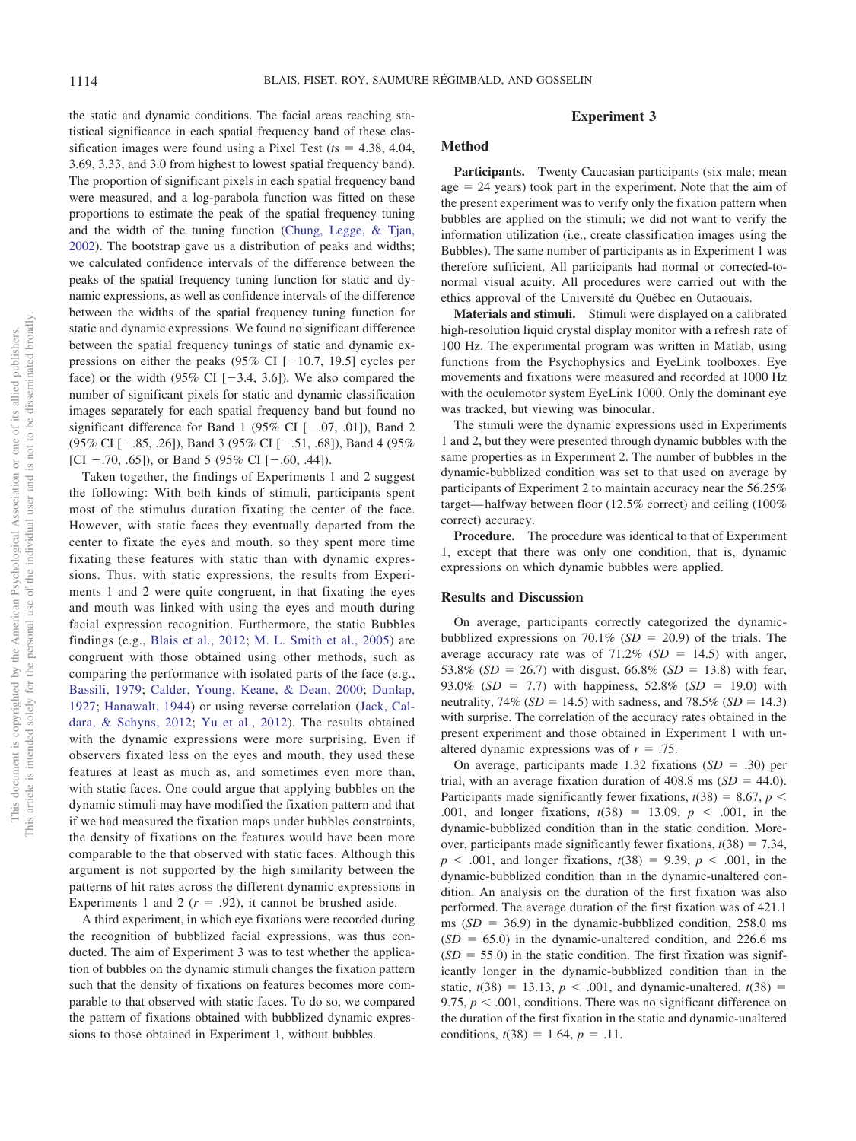the static and dynamic conditions. The facial areas reaching statistical significance in each spatial frequency band of these classification images were found using a Pixel Test  $(ts = 4.38, 4.04,$ 3.69, 3.33, and 3.0 from highest to lowest spatial frequency band). The proportion of significant pixels in each spatial frequency band were measured, and a log-parabola function was fitted on these proportions to estimate the peak of the spatial frequency tuning and the width of the tuning function [\(Chung, Legge, & Tjan,](#page-10-14) [2002\)](#page-10-14). The bootstrap gave us a distribution of peaks and widths; we calculated confidence intervals of the difference between the peaks of the spatial frequency tuning function for static and dynamic expressions, as well as confidence intervals of the difference between the widths of the spatial frequency tuning function for static and dynamic expressions. We found no significant difference between the spatial frequency tunings of static and dynamic expressions on either the peaks (95% CI  $[-10.7, 19.5]$  cycles per face) or the width (95% CI  $[-3.4, 3.6]$ ). We also compared the number of significant pixels for static and dynamic classification images separately for each spatial frequency band but found no significant difference for Band 1 (95% CI  $[-.07, .01]$ ), Band 2 (95% CI  $[-.85, .26]$ ), Band 3 (95% CI  $[-.51, .68]$ ), Band 4 (95%) [CI  $-.70, .65$ ]), or Band 5 (95% CI  $[-.60, .44]$ ).

Taken together, the findings of Experiments 1 and 2 suggest the following: With both kinds of stimuli, participants spent most of the stimulus duration fixating the center of the face. However, with static faces they eventually departed from the center to fixate the eyes and mouth, so they spent more time fixating these features with static than with dynamic expressions. Thus, with static expressions, the results from Experiments 1 and 2 were quite congruent, in that fixating the eyes and mouth was linked with using the eyes and mouth during facial expression recognition. Furthermore, the static Bubbles findings (e.g., [Blais et al., 2012;](#page-10-6) [M. L. Smith et al., 2005\)](#page-12-2) are congruent with those obtained using other methods, such as comparing the performance with isolated parts of the face (e.g., [Bassili, 1979;](#page-10-15) [Calder, Young, Keane, & Dean, 2000;](#page-10-16) [Dunlap,](#page-10-17) [1927;](#page-10-17) [Hanawalt, 1944\)](#page-11-25) or using reverse correlation [\(Jack, Cal](#page-11-26)[dara, & Schyns, 2012;](#page-11-26) [Yu et al., 2012\)](#page-12-5). The results obtained with the dynamic expressions were more surprising. Even if observers fixated less on the eyes and mouth, they used these features at least as much as, and sometimes even more than, with static faces. One could argue that applying bubbles on the dynamic stimuli may have modified the fixation pattern and that if we had measured the fixation maps under bubbles constraints, the density of fixations on the features would have been more comparable to the that observed with static faces. Although this argument is not supported by the high similarity between the patterns of hit rates across the different dynamic expressions in Experiments 1 and 2  $(r = .92)$ , it cannot be brushed aside.

A third experiment, in which eye fixations were recorded during the recognition of bubblized facial expressions, was thus conducted. The aim of Experiment 3 was to test whether the application of bubbles on the dynamic stimuli changes the fixation pattern such that the density of fixations on features becomes more comparable to that observed with static faces. To do so, we compared the pattern of fixations obtained with bubblized dynamic expressions to those obtained in Experiment 1, without bubbles.

### **Experiment 3**

### **Method**

Participants. Twenty Caucasian participants (six male; mean  $age = 24 \text{ years}$ ) took part in the experiment. Note that the aim of the present experiment was to verify only the fixation pattern when bubbles are applied on the stimuli; we did not want to verify the information utilization (i.e., create classification images using the Bubbles). The same number of participants as in Experiment 1 was therefore sufficient. All participants had normal or corrected-tonormal visual acuity. All procedures were carried out with the ethics approval of the Université du Québec en Outaouais.

**Materials and stimuli.** Stimuli were displayed on a calibrated high-resolution liquid crystal display monitor with a refresh rate of 100 Hz. The experimental program was written in Matlab, using functions from the Psychophysics and EyeLink toolboxes. Eye movements and fixations were measured and recorded at 1000 Hz with the oculomotor system EyeLink 1000. Only the dominant eye was tracked, but viewing was binocular.

The stimuli were the dynamic expressions used in Experiments 1 and 2, but they were presented through dynamic bubbles with the same properties as in Experiment 2. The number of bubbles in the dynamic-bubblized condition was set to that used on average by participants of Experiment 2 to maintain accuracy near the 56.25% target— halfway between floor (12.5% correct) and ceiling (100% correct) accuracy.

**Procedure.** The procedure was identical to that of Experiment 1, except that there was only one condition, that is, dynamic expressions on which dynamic bubbles were applied.

#### **Results and Discussion**

On average, participants correctly categorized the dynamicbubblized expressions on  $70.1\%$  ( $SD = 20.9$ ) of the trials. The average accuracy rate was of  $71.2\%$  ( $SD = 14.5$ ) with anger, 53.8% ( $SD = 26.7$ ) with disgust,  $66.8\%$  ( $SD = 13.8$ ) with fear, 93.0% ( $SD = 7.7$ ) with happiness, 52.8% ( $SD = 19.0$ ) with neutrality,  $74\%$  (*SD* = 14.5) with sadness, and  $78.5\%$  (*SD* = 14.3) with surprise. The correlation of the accuracy rates obtained in the present experiment and those obtained in Experiment 1 with unaltered dynamic expressions was of  $r = .75$ .

On average, participants made  $1.32$  fixations  $(SD = .30)$  per trial, with an average fixation duration of  $408.8 \text{ ms } (SD = 44.0)$ . Participants made significantly fewer fixations,  $t(38) = 8.67$ ,  $p <$ .001, and longer fixations,  $t(38) = 13.09$ ,  $p < .001$ , in the dynamic-bubblized condition than in the static condition. Moreover, participants made significantly fewer fixations,  $t(38) = 7.34$ ,  $p < .001$ , and longer fixations,  $t(38) = 9.39$ ,  $p < .001$ , in the dynamic-bubblized condition than in the dynamic-unaltered condition. An analysis on the duration of the first fixation was also performed. The average duration of the first fixation was of 421.1 ms  $(SD = 36.9)$  in the dynamic-bubblized condition, 258.0 ms  $(SD = 65.0)$  in the dynamic-unaltered condition, and 226.6 ms  $(SD = 55.0)$  in the static condition. The first fixation was significantly longer in the dynamic-bubblized condition than in the static,  $t(38) = 13.13$ ,  $p < .001$ , and dynamic-unaltered,  $t(38) =$ 9.75,  $p < .001$ , conditions. There was no significant difference on the duration of the first fixation in the static and dynamic-unaltered conditions,  $t(38) = 1.64$ ,  $p = .11$ .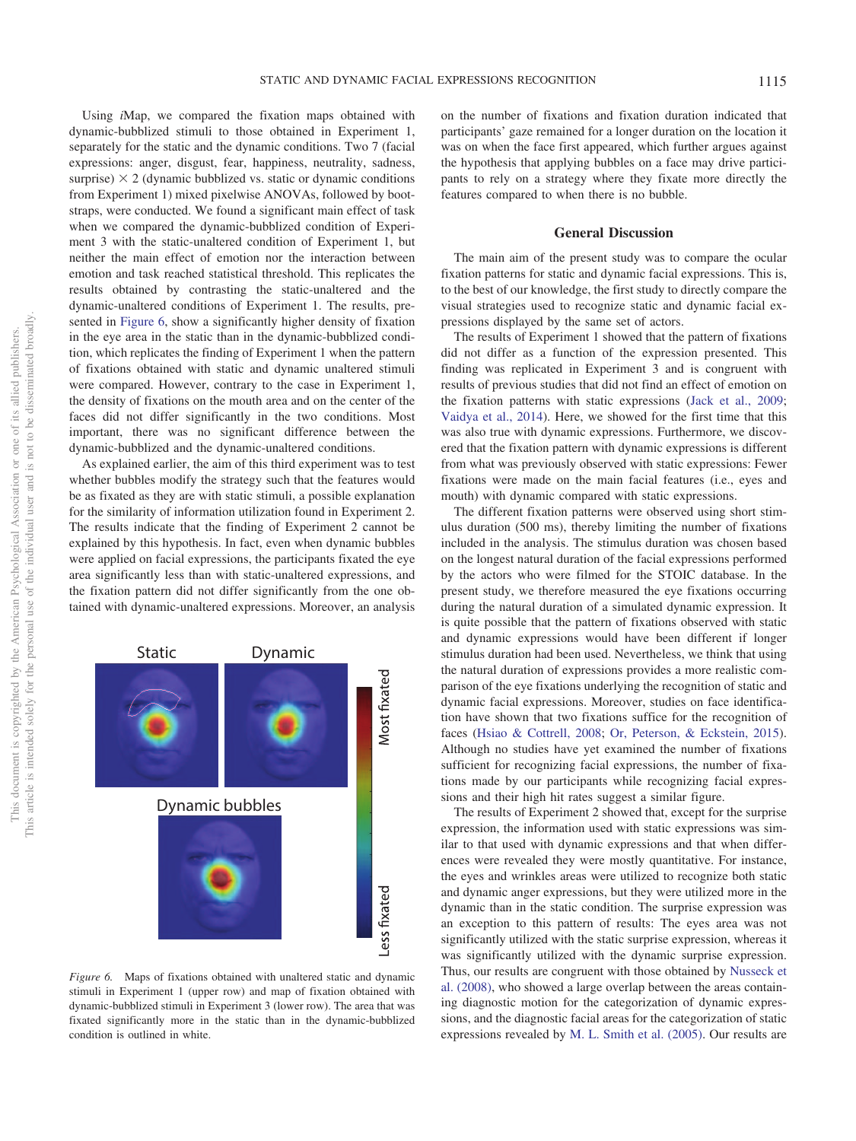Using *i*Map, we compared the fixation maps obtained with dynamic-bubblized stimuli to those obtained in Experiment 1, separately for the static and the dynamic conditions. Two 7 (facial expressions: anger, disgust, fear, happiness, neutrality, sadness, surprise)  $\times$  2 (dynamic bubblized vs. static or dynamic conditions from Experiment 1) mixed pixelwise ANOVAs, followed by bootstraps, were conducted. We found a significant main effect of task when we compared the dynamic-bubblized condition of Experiment 3 with the static-unaltered condition of Experiment 1, but neither the main effect of emotion nor the interaction between emotion and task reached statistical threshold. This replicates the results obtained by contrasting the static-unaltered and the dynamic-unaltered conditions of Experiment 1. The results, presented in [Figure 6,](#page-8-0) show a significantly higher density of fixation in the eye area in the static than in the dynamic-bubblized condi-

tion, which replicates the finding of Experiment 1 when the pattern of fixations obtained with static and dynamic unaltered stimuli were compared. However, contrary to the case in Experiment 1, the density of fixations on the mouth area and on the center of the faces did not differ significantly in the two conditions. Most important, there was no significant difference between the dynamic-bubblized and the dynamic-unaltered conditions.

As explained earlier, the aim of this third experiment was to test whether bubbles modify the strategy such that the features would be as fixated as they are with static stimuli, a possible explanation for the similarity of information utilization found in Experiment 2. The results indicate that the finding of Experiment 2 cannot be explained by this hypothesis. In fact, even when dynamic bubbles were applied on facial expressions, the participants fixated the eye area significantly less than with static-unaltered expressions, and the fixation pattern did not differ significantly from the one obtained with dynamic-unaltered expressions. Moreover, an analysis



<span id="page-8-0"></span>*Figure 6.* Maps of fixations obtained with unaltered static and dynamic stimuli in Experiment 1 (upper row) and map of fixation obtained with dynamic-bubblized stimuli in Experiment 3 (lower row). The area that was fixated significantly more in the static than in the dynamic-bubblized condition is outlined in white.

on the number of fixations and fixation duration indicated that participants' gaze remained for a longer duration on the location it was on when the face first appeared, which further argues against the hypothesis that applying bubbles on a face may drive participants to rely on a strategy where they fixate more directly the features compared to when there is no bubble.

#### **General Discussion**

The main aim of the present study was to compare the ocular fixation patterns for static and dynamic facial expressions. This is, to the best of our knowledge, the first study to directly compare the visual strategies used to recognize static and dynamic facial expressions displayed by the same set of actors.

The results of Experiment 1 showed that the pattern of fixations did not differ as a function of the expression presented. This finding was replicated in Experiment 3 and is congruent with results of previous studies that did not find an effect of emotion on the fixation patterns with static expressions [\(Jack et al., 2009;](#page-11-1) [Vaidya et al., 2014\)](#page-12-1). Here, we showed for the first time that this was also true with dynamic expressions. Furthermore, we discovered that the fixation pattern with dynamic expressions is different from what was previously observed with static expressions: Fewer fixations were made on the main facial features (i.e., eyes and mouth) with dynamic compared with static expressions.

The different fixation patterns were observed using short stimulus duration (500 ms), thereby limiting the number of fixations included in the analysis. The stimulus duration was chosen based on the longest natural duration of the facial expressions performed by the actors who were filmed for the STOIC database. In the present study, we therefore measured the eye fixations occurring during the natural duration of a simulated dynamic expression. It is quite possible that the pattern of fixations observed with static and dynamic expressions would have been different if longer stimulus duration had been used. Nevertheless, we think that using the natural duration of expressions provides a more realistic comparison of the eye fixations underlying the recognition of static and dynamic facial expressions. Moreover, studies on face identification have shown that two fixations suffice for the recognition of faces [\(Hsiao & Cottrell, 2008;](#page-11-27) [Or, Peterson, & Eckstein, 2015\)](#page-11-28). Although no studies have yet examined the number of fixations sufficient for recognizing facial expressions, the number of fixations made by our participants while recognizing facial expressions and their high hit rates suggest a similar figure.

The results of Experiment 2 showed that, except for the surprise expression, the information used with static expressions was similar to that used with dynamic expressions and that when differences were revealed they were mostly quantitative. For instance, the eyes and wrinkles areas were utilized to recognize both static and dynamic anger expressions, but they were utilized more in the dynamic than in the static condition. The surprise expression was an exception to this pattern of results: The eyes area was not significantly utilized with the static surprise expression, whereas it was significantly utilized with the dynamic surprise expression. Thus, our results are congruent with those obtained by [Nusseck et](#page-11-10) [al. \(2008\),](#page-11-10) who showed a large overlap between the areas containing diagnostic motion for the categorization of dynamic expressions, and the diagnostic facial areas for the categorization of static expressions revealed by [M. L. Smith et al. \(2005\).](#page-12-2) Our results are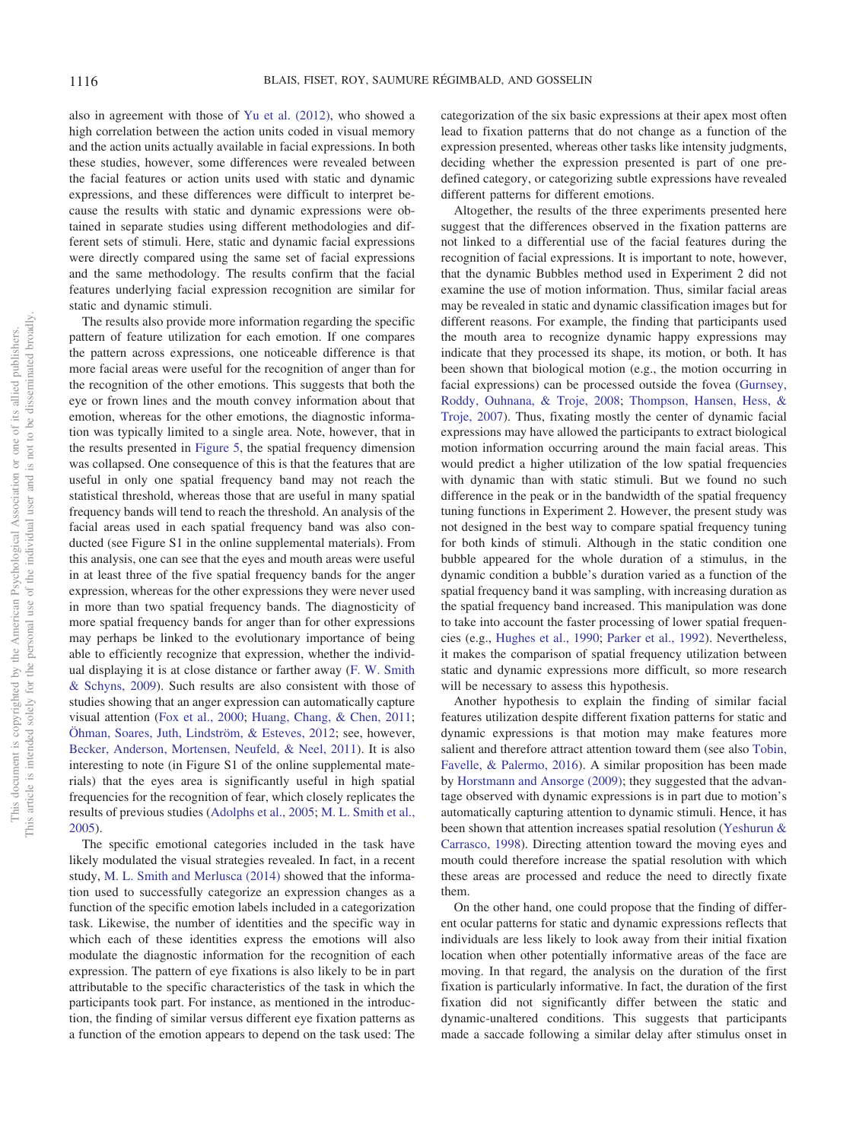also in agreement with those of [Yu et al. \(2012\),](#page-12-5) who showed a high correlation between the action units coded in visual memory and the action units actually available in facial expressions. In both these studies, however, some differences were revealed between the facial features or action units used with static and dynamic expressions, and these differences were difficult to interpret because the results with static and dynamic expressions were obtained in separate studies using different methodologies and different sets of stimuli. Here, static and dynamic facial expressions were directly compared using the same set of facial expressions and the same methodology. The results confirm that the facial features underlying facial expression recognition are similar for static and dynamic stimuli.

The results also provide more information regarding the specific pattern of feature utilization for each emotion. If one compares the pattern across expressions, one noticeable difference is that more facial areas were useful for the recognition of anger than for the recognition of the other emotions. This suggests that both the eye or frown lines and the mouth convey information about that emotion, whereas for the other emotions, the diagnostic information was typically limited to a single area. Note, however, that in the results presented in [Figure 5,](#page-6-0) the spatial frequency dimension was collapsed. One consequence of this is that the features that are useful in only one spatial frequency band may not reach the statistical threshold, whereas those that are useful in many spatial frequency bands will tend to reach the threshold. An analysis of the facial areas used in each spatial frequency band was also conducted (see Figure S1 in the online supplemental materials). From this analysis, one can see that the eyes and mouth areas were useful in at least three of the five spatial frequency bands for the anger expression, whereas for the other expressions they were never used in more than two spatial frequency bands. The diagnosticity of more spatial frequency bands for anger than for other expressions may perhaps be linked to the evolutionary importance of being able to efficiently recognize that expression, whether the individual displaying it is at close distance or farther away [\(F. W. Smith](#page-12-9) [& Schyns, 2009\)](#page-12-9). Such results are also consistent with those of studies showing that an anger expression can automatically capture visual attention [\(Fox et al., 2000;](#page-11-29) [Huang, Chang, & Chen, 2011;](#page-11-30) [Öhman, Soares, Juth, Lindström, & Esteves, 2012;](#page-11-31) see, however, [Becker, Anderson, Mortensen, Neufeld, & Neel, 2011\)](#page-10-18). It is also interesting to note (in Figure S1 of the online supplemental materials) that the eyes area is significantly useful in high spatial frequencies for the recognition of fear, which closely replicates the results of previous studies [\(Adolphs et al., 2005;](#page-10-19) [M. L. Smith et al.,](#page-12-2) [2005\)](#page-12-2).

The specific emotional categories included in the task have likely modulated the visual strategies revealed. In fact, in a recent study, [M. L. Smith and Merlusca \(2014\)](#page-12-10) showed that the information used to successfully categorize an expression changes as a function of the specific emotion labels included in a categorization task. Likewise, the number of identities and the specific way in which each of these identities express the emotions will also modulate the diagnostic information for the recognition of each expression. The pattern of eye fixations is also likely to be in part attributable to the specific characteristics of the task in which the participants took part. For instance, as mentioned in the introduction, the finding of similar versus different eye fixation patterns as a function of the emotion appears to depend on the task used: The

categorization of the six basic expressions at their apex most often lead to fixation patterns that do not change as a function of the expression presented, whereas other tasks like intensity judgments, deciding whether the expression presented is part of one predefined category, or categorizing subtle expressions have revealed different patterns for different emotions.

Altogether, the results of the three experiments presented here suggest that the differences observed in the fixation patterns are not linked to a differential use of the facial features during the recognition of facial expressions. It is important to note, however, that the dynamic Bubbles method used in Experiment 2 did not examine the use of motion information. Thus, similar facial areas may be revealed in static and dynamic classification images but for different reasons. For example, the finding that participants used the mouth area to recognize dynamic happy expressions may indicate that they processed its shape, its motion, or both. It has been shown that biological motion (e.g., the motion occurring in facial expressions) can be processed outside the fovea [\(Gurnsey,](#page-11-32) [Roddy, Ouhnana, & Troje, 2008;](#page-11-32) [Thompson, Hansen, Hess, &](#page-12-11) [Troje, 2007\)](#page-12-11). Thus, fixating mostly the center of dynamic facial expressions may have allowed the participants to extract biological motion information occurring around the main facial areas. This would predict a higher utilization of the low spatial frequencies with dynamic than with static stimuli. But we found no such difference in the peak or in the bandwidth of the spatial frequency tuning functions in Experiment 2. However, the present study was not designed in the best way to compare spatial frequency tuning for both kinds of stimuli. Although in the static condition one bubble appeared for the whole duration of a stimulus, in the dynamic condition a bubble's duration varied as a function of the spatial frequency band it was sampling, with increasing duration as the spatial frequency band increased. This manipulation was done to take into account the faster processing of lower spatial frequencies (e.g., [Hughes et al., 1990;](#page-11-23) [Parker et al., 1992\)](#page-11-24). Nevertheless, it makes the comparison of spatial frequency utilization between static and dynamic expressions more difficult, so more research will be necessary to assess this hypothesis.

Another hypothesis to explain the finding of similar facial features utilization despite different fixation patterns for static and dynamic expressions is that motion may make features more salient and therefore attract attention toward them (see also [Tobin,](#page-12-12) [Favelle, & Palermo, 2016\)](#page-12-12). A similar proposition has been made by [Horstmann and Ansorge \(2009\);](#page-11-33) they suggested that the advantage observed with dynamic expressions is in part due to motion's automatically capturing attention to dynamic stimuli. Hence, it has been shown that attention increases spatial resolution [\(Yeshurun &](#page-12-13) [Carrasco, 1998\)](#page-12-13). Directing attention toward the moving eyes and mouth could therefore increase the spatial resolution with which these areas are processed and reduce the need to directly fixate them.

On the other hand, one could propose that the finding of different ocular patterns for static and dynamic expressions reflects that individuals are less likely to look away from their initial fixation location when other potentially informative areas of the face are moving. In that regard, the analysis on the duration of the first fixation is particularly informative. In fact, the duration of the first fixation did not significantly differ between the static and dynamic-unaltered conditions. This suggests that participants made a saccade following a similar delay after stimulus onset in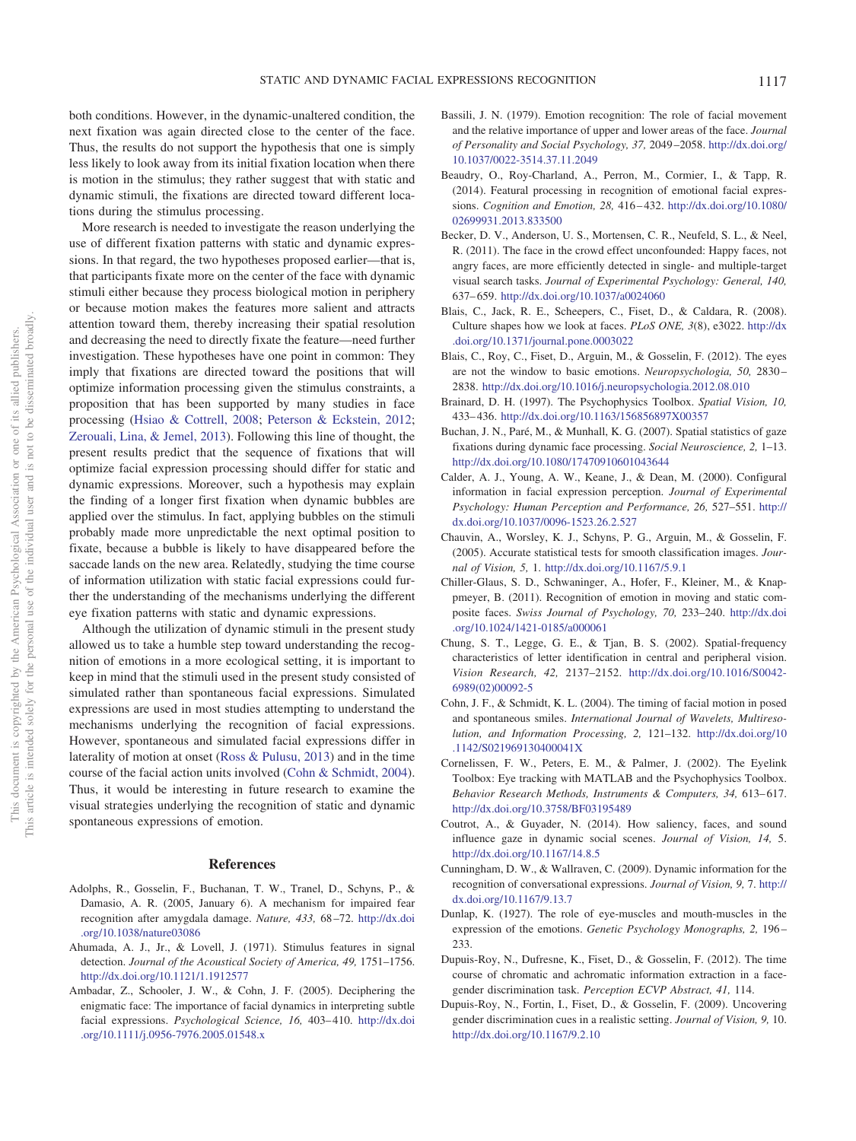both conditions. However, in the dynamic-unaltered condition, the next fixation was again directed close to the center of the face. Thus, the results do not support the hypothesis that one is simply less likely to look away from its initial fixation location when there is motion in the stimulus; they rather suggest that with static and dynamic stimuli, the fixations are directed toward different locations during the stimulus processing.

More research is needed to investigate the reason underlying the use of different fixation patterns with static and dynamic expressions. In that regard, the two hypotheses proposed earlier—that is, that participants fixate more on the center of the face with dynamic stimuli either because they process biological motion in periphery or because motion makes the features more salient and attracts attention toward them, thereby increasing their spatial resolution and decreasing the need to directly fixate the feature—need further investigation. These hypotheses have one point in common: They imply that fixations are directed toward the positions that will optimize information processing given the stimulus constraints, a proposition that has been supported by many studies in face processing [\(Hsiao & Cottrell, 2008;](#page-11-27) [Peterson & Eckstein, 2012;](#page-11-34) [Zerouali, Lina, & Jemel, 2013\)](#page-12-14). Following this line of thought, the present results predict that the sequence of fixations that will optimize facial expression processing should differ for static and dynamic expressions. Moreover, such a hypothesis may explain the finding of a longer first fixation when dynamic bubbles are applied over the stimulus. In fact, applying bubbles on the stimuli probably made more unpredictable the next optimal position to fixate, because a bubble is likely to have disappeared before the saccade lands on the new area. Relatedly, studying the time course of information utilization with static facial expressions could further the understanding of the mechanisms underlying the different eye fixation patterns with static and dynamic expressions.

Although the utilization of dynamic stimuli in the present study allowed us to take a humble step toward understanding the recognition of emotions in a more ecological setting, it is important to keep in mind that the stimuli used in the present study consisted of simulated rather than spontaneous facial expressions. Simulated expressions are used in most studies attempting to understand the mechanisms underlying the recognition of facial expressions. However, spontaneous and simulated facial expressions differ in laterality of motion at onset [\(Ross & Pulusu, 2013\)](#page-11-35) and in the time course of the facial action units involved [\(Cohn & Schmidt, 2004\)](#page-10-20). Thus, it would be interesting in future research to examine the visual strategies underlying the recognition of static and dynamic spontaneous expressions of emotion.

#### **References**

- <span id="page-10-19"></span>Adolphs, R., Gosselin, F., Buchanan, T. W., Tranel, D., Schyns, P., & Damasio, A. R. (2005, January 6). A mechanism for impaired fear recognition after amygdala damage. *Nature, 433,* 68 –72. [http://dx.doi](http://dx.doi.org/10.1038/nature03086) [.org/10.1038/nature03086](http://dx.doi.org/10.1038/nature03086)
- <span id="page-10-7"></span>Ahumada, A. J., Jr., & Lovell, J. (1971). Stimulus features in signal detection. *Journal of the Acoustical Society of America, 49,* 1751–1756. <http://dx.doi.org/10.1121/1.1912577>
- <span id="page-10-1"></span>Ambadar, Z., Schooler, J. W., & Cohn, J. F. (2005). Deciphering the enigmatic face: The importance of facial dynamics in interpreting subtle facial expressions. *Psychological Science*, 16, 403-410. [http://dx.doi](http://dx.doi.org/10.1111/j.0956-7976.2005.01548.x) [.org/10.1111/j.0956-7976.2005.01548.x](http://dx.doi.org/10.1111/j.0956-7976.2005.01548.x)
- <span id="page-10-15"></span>Bassili, J. N. (1979). Emotion recognition: The role of facial movement and the relative importance of upper and lower areas of the face. *Journal of Personality and Social Psychology, 37,* 2049 –2058. [http://dx.doi.org/](http://dx.doi.org/10.1037/0022-3514.37.11.2049) [10.1037/0022-3514.37.11.2049](http://dx.doi.org/10.1037/0022-3514.37.11.2049)
- <span id="page-10-0"></span>Beaudry, O., Roy-Charland, A., Perron, M., Cormier, I., & Tapp, R. (2014). Featural processing in recognition of emotional facial expressions. *Cognition and Emotion, 28,* 416 – 432. [http://dx.doi.org/10.1080/](http://dx.doi.org/10.1080/02699931.2013.833500) [02699931.2013.833500](http://dx.doi.org/10.1080/02699931.2013.833500)
- <span id="page-10-18"></span>Becker, D. V., Anderson, U. S., Mortensen, C. R., Neufeld, S. L., & Neel, R. (2011). The face in the crowd effect unconfounded: Happy faces, not angry faces, are more efficiently detected in single- and multiple-target visual search tasks. *Journal of Experimental Psychology: General, 140,* 637– 659. <http://dx.doi.org/10.1037/a0024060>
- <span id="page-10-8"></span>Blais, C., Jack, R. E., Scheepers, C., Fiset, D., & Caldara, R. (2008). Culture shapes how we look at faces. *PLoS ONE, 3*(8), e3022. [http://dx](http://dx.doi.org/10.1371/journal.pone.0003022) [.doi.org/10.1371/journal.pone.0003022](http://dx.doi.org/10.1371/journal.pone.0003022)
- <span id="page-10-6"></span>Blais, C., Roy, C., Fiset, D., Arguin, M., & Gosselin, F. (2012). The eyes are not the window to basic emotions. *Neuropsychologia, 50,* 2830 – 2838. <http://dx.doi.org/10.1016/j.neuropsychologia.2012.08.010>
- <span id="page-10-9"></span>Brainard, D. H. (1997). The Psychophysics Toolbox. *Spatial Vision, 10,* 433– 436. <http://dx.doi.org/10.1163/156856897X00357>
- <span id="page-10-5"></span>Buchan, J. N., Paré, M., & Munhall, K. G. (2007). Spatial statistics of gaze fixations during dynamic face processing. *Social Neuroscience, 2,* 1–13. <http://dx.doi.org/10.1080/17470910601043644>
- <span id="page-10-16"></span>Calder, A. J., Young, A. W., Keane, J., & Dean, M. (2000). Configural information in facial expression perception. *Journal of Experimental Psychology: Human Perception and Performance, 26,* 527–551. [http://](http://dx.doi.org/10.1037/0096-1523.26.2.527) [dx.doi.org/10.1037/0096-1523.26.2.527](http://dx.doi.org/10.1037/0096-1523.26.2.527)
- <span id="page-10-13"></span>Chauvin, A., Worsley, K. J., Schyns, P. G., Arguin, M., & Gosselin, F. (2005). Accurate statistical tests for smooth classification images. *Journal of Vision, 5,* 1. <http://dx.doi.org/10.1167/5.9.1>
- <span id="page-10-2"></span>Chiller-Glaus, S. D., Schwaninger, A., Hofer, F., Kleiner, M., & Knappmeyer, B. (2011). Recognition of emotion in moving and static composite faces. *Swiss Journal of Psychology, 70,* 233–240. [http://dx.doi](http://dx.doi.org/10.1024/1421-0185/a000061) [.org/10.1024/1421-0185/a000061](http://dx.doi.org/10.1024/1421-0185/a000061)
- <span id="page-10-14"></span>Chung, S. T., Legge, G. E., & Tjan, B. S. (2002). Spatial-frequency characteristics of letter identification in central and peripheral vision. *Vision Research, 42,* 2137–2152. [http://dx.doi.org/10.1016/S0042-](http://dx.doi.org/10.1016/S0042-6989%2802%2900092-5) [6989\(02\)00092-5](http://dx.doi.org/10.1016/S0042-6989%2802%2900092-5)
- <span id="page-10-20"></span>Cohn, J. F., & Schmidt, K. L. (2004). The timing of facial motion in posed and spontaneous smiles. *International Journal of Wavelets, Multiresolution, and Information Processing, 2,* 121–132. [http://dx.doi.org/10](http://dx.doi.org/10.1142/S021969130400041X) [.1142/S021969130400041X](http://dx.doi.org/10.1142/S021969130400041X)
- <span id="page-10-10"></span>Cornelissen, F. W., Peters, E. M., & Palmer, J. (2002). The Eyelink Toolbox: Eye tracking with MATLAB and the Psychophysics Toolbox. Behavior Research Methods, Instruments & Computers, 34, 613-617. <http://dx.doi.org/10.3758/BF03195489>
- <span id="page-10-4"></span>Coutrot, A., & Guyader, N. (2014). How saliency, faces, and sound influence gaze in dynamic social scenes. *Journal of Vision, 14,* 5. <http://dx.doi.org/10.1167/14.8.5>
- <span id="page-10-3"></span>Cunningham, D. W., & Wallraven, C. (2009). Dynamic information for the recognition of conversational expressions. *Journal of Vision, 9,* 7. [http://](http://dx.doi.org/10.1167/9.13.7) [dx.doi.org/10.1167/9.13.7](http://dx.doi.org/10.1167/9.13.7)
- <span id="page-10-17"></span>Dunlap, K. (1927). The role of eye-muscles and mouth-muscles in the expression of the emotions. *Genetic Psychology Monographs, 2,* 196 – 233.
- <span id="page-10-11"></span>Dupuis-Roy, N., Dufresne, K., Fiset, D., & Gosselin, F. (2012). The time course of chromatic and achromatic information extraction in a facegender discrimination task. *Perception ECVP Abstract, 41,* 114.
- <span id="page-10-12"></span>Dupuis-Roy, N., Fortin, I., Fiset, D., & Gosselin, F. (2009). Uncovering gender discrimination cues in a realistic setting. *Journal of Vision, 9,* 10. <http://dx.doi.org/10.1167/9.2.10>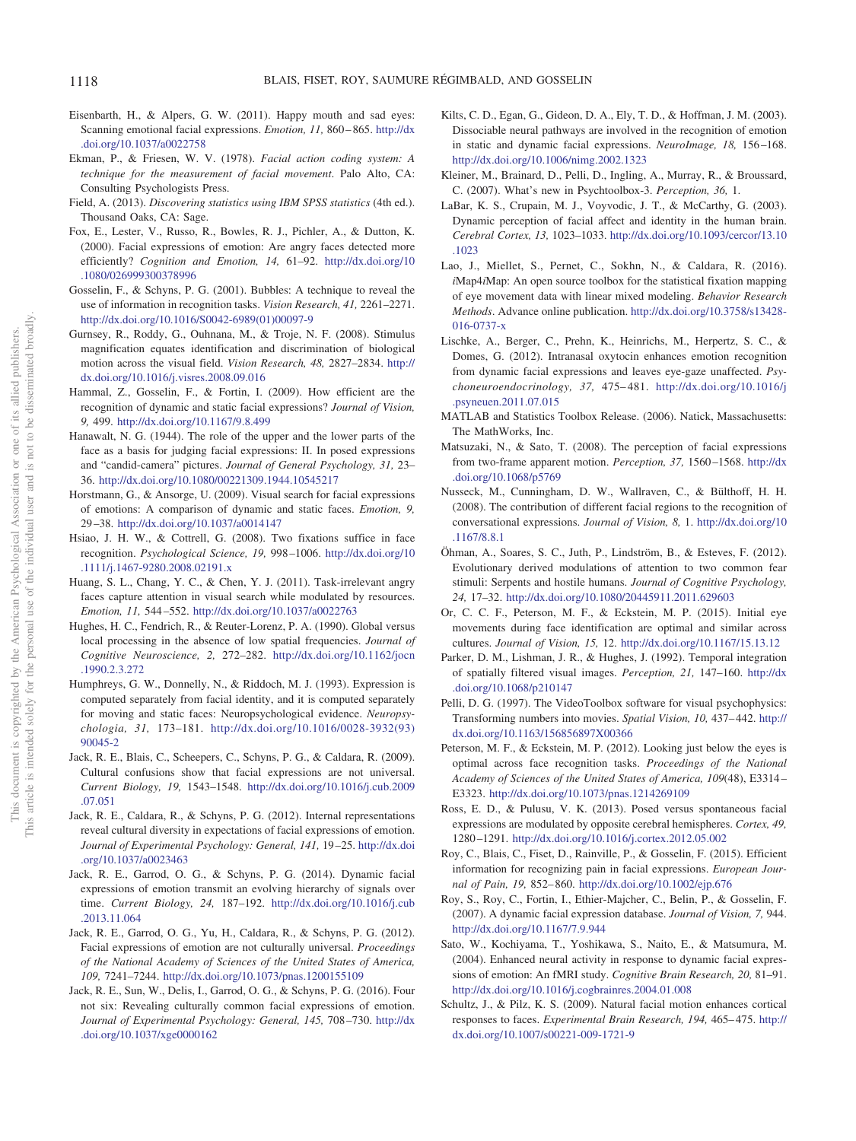- <span id="page-11-0"></span>Eisenbarth, H., & Alpers, G. W. (2011). Happy mouth and sad eyes: Scanning emotional facial expressions. *Emotion, 11*, 860-865. [http://dx](http://dx.doi.org/10.1037/a0022758) [.doi.org/10.1037/a0022758](http://dx.doi.org/10.1037/a0022758)
- <span id="page-11-11"></span>Ekman, P., & Friesen, W. V. (1978). *Facial action coding system: A technique for the measurement of facial movement*. Palo Alto, CA: Consulting Psychologists Press.
- <span id="page-11-21"></span>Field, A. (2013). *Discovering statistics using IBM SPSS statistics* (4th ed.). Thousand Oaks, CA: Sage.
- <span id="page-11-29"></span>Fox, E., Lester, V., Russo, R., Bowles, R. J., Pichler, A., & Dutton, K. (2000). Facial expressions of emotion: Are angry faces detected more efficiently? *Cognition and Emotion, 14,* 61–92. [http://dx.doi.org/10](http://dx.doi.org/10.1080/026999300378996) [.1080/026999300378996](http://dx.doi.org/10.1080/026999300378996)
- <span id="page-11-15"></span>Gosselin, F., & Schyns, P. G. (2001). Bubbles: A technique to reveal the use of information in recognition tasks. *Vision Research, 41,* 2261–2271. [http://dx.doi.org/10.1016/S0042-6989\(01\)00097-9](http://dx.doi.org/10.1016/S0042-6989%2801%2900097-9)
- <span id="page-11-32"></span>Gurnsey, R., Roddy, G., Ouhnana, M., & Troje, N. F. (2008). Stimulus magnification equates identification and discrimination of biological motion across the visual field. *Vision Research, 48,* 2827–2834. [http://](http://dx.doi.org/10.1016/j.visres.2008.09.016) [dx.doi.org/10.1016/j.visres.2008.09.016](http://dx.doi.org/10.1016/j.visres.2008.09.016)
- <span id="page-11-7"></span>Hammal, Z., Gosselin, F., & Fortin, I. (2009). How efficient are the recognition of dynamic and static facial expressions? *Journal of Vision, 9,* 499. <http://dx.doi.org/10.1167/9.8.499>
- <span id="page-11-25"></span>Hanawalt, N. G. (1944). The role of the upper and the lower parts of the face as a basis for judging facial expressions: II. In posed expressions and "candid-camera" pictures. *Journal of General Psychology, 31,* 23– 36. <http://dx.doi.org/10.1080/00221309.1944.10545217>
- <span id="page-11-33"></span>Horstmann, G., & Ansorge, U. (2009). Visual search for facial expressions of emotions: A comparison of dynamic and static faces. *Emotion, 9,* 29 –38. <http://dx.doi.org/10.1037/a0014147>
- <span id="page-11-27"></span>Hsiao, J. H. W., & Cottrell, G. (2008). Two fixations suffice in face recognition. *Psychological Science, 19,* 998 –1006. [http://dx.doi.org/10](http://dx.doi.org/10.1111/j.1467-9280.2008.02191.x) [.1111/j.1467-9280.2008.02191.x](http://dx.doi.org/10.1111/j.1467-9280.2008.02191.x)
- <span id="page-11-30"></span>Huang, S. L., Chang, Y. C., & Chen, Y. J. (2011). Task-irrelevant angry faces capture attention in visual search while modulated by resources. *Emotion, 11,* 544 –552. <http://dx.doi.org/10.1037/a0022763>
- <span id="page-11-23"></span>Hughes, H. C., Fendrich, R., & Reuter-Lorenz, P. A. (1990). Global versus local processing in the absence of low spatial frequencies. *Journal of Cognitive Neuroscience, 2,* 272–282. [http://dx.doi.org/10.1162/jocn](http://dx.doi.org/10.1162/jocn.1990.2.3.272) [.1990.2.3.272](http://dx.doi.org/10.1162/jocn.1990.2.3.272)
- <span id="page-11-2"></span>Humphreys, G. W., Donnelly, N., & Riddoch, M. J. (1993). Expression is computed separately from facial identity, and it is computed separately for moving and static faces: Neuropsychological evidence. *Neuropsychologia, 31,* 173–181. [http://dx.doi.org/10.1016/0028-3932\(93\)](http://dx.doi.org/10.1016/0028-3932%2893%2990045-2) [90045-2](http://dx.doi.org/10.1016/0028-3932%2893%2990045-2)
- <span id="page-11-1"></span>Jack, R. E., Blais, C., Scheepers, C., Schyns, P. G., & Caldara, R. (2009). Cultural confusions show that facial expressions are not universal. *Current Biology, 19,* 1543–1548. [http://dx.doi.org/10.1016/j.cub.2009](http://dx.doi.org/10.1016/j.cub.2009.07.051) [.07.051](http://dx.doi.org/10.1016/j.cub.2009.07.051)
- <span id="page-11-26"></span>Jack, R. E., Caldara, R., & Schyns, P. G. (2012). Internal representations reveal cultural diversity in expectations of facial expressions of emotion. *Journal of Experimental Psychology: General, 141,* 19 –25. [http://dx.doi](http://dx.doi.org/10.1037/a0023463) [.org/10.1037/a0023463](http://dx.doi.org/10.1037/a0023463)
- <span id="page-11-12"></span>Jack, R. E., Garrod, O. G., & Schyns, P. G. (2014). Dynamic facial expressions of emotion transmit an evolving hierarchy of signals over time. *Current Biology, 24,* 187–192. [http://dx.doi.org/10.1016/j.cub](http://dx.doi.org/10.1016/j.cub.2013.11.064) [.2013.11.064](http://dx.doi.org/10.1016/j.cub.2013.11.064)
- <span id="page-11-13"></span>Jack, R. E., Garrod, O. G., Yu, H., Caldara, R., & Schyns, P. G. (2012). Facial expressions of emotion are not culturally universal. *Proceedings of the National Academy of Sciences of the United States of America, 109,* 7241–7244. <http://dx.doi.org/10.1073/pnas.1200155109>
- <span id="page-11-14"></span>Jack, R. E., Sun, W., Delis, I., Garrod, O. G., & Schyns, P. G. (2016). Four not six: Revealing culturally common facial expressions of emotion. *Journal of Experimental Psychology: General, 145,* 708 –730. [http://dx](http://dx.doi.org/10.1037/xge0000162) [.doi.org/10.1037/xge0000162](http://dx.doi.org/10.1037/xge0000162)
- <span id="page-11-4"></span>Kilts, C. D., Egan, G., Gideon, D. A., Ely, T. D., & Hoffman, J. M. (2003). Dissociable neural pathways are involved in the recognition of emotion in static and dynamic facial expressions. *NeuroImage, 18,* 156 –168. <http://dx.doi.org/10.1006/nimg.2002.1323>
- <span id="page-11-17"></span>Kleiner, M., Brainard, D., Pelli, D., Ingling, A., Murray, R., & Broussard, C. (2007). What's new in Psychtoolbox-3. *Perception, 36,* 1.
- <span id="page-11-5"></span>LaBar, K. S., Crupain, M. J., Voyvodic, J. T., & McCarthy, G. (2003). Dynamic perception of facial affect and identity in the human brain. *Cerebral Cortex, 13,* 1023–1033. [http://dx.doi.org/10.1093/cercor/13.10](http://dx.doi.org/10.1093/cercor/13.10.1023) [.1023](http://dx.doi.org/10.1093/cercor/13.10.1023)
- <span id="page-11-22"></span>Lao, J., Miellet, S., Pernet, C., Sokhn, N., & Caldara, R. (2016). *i*Map4*i*Map: An open source toolbox for the statistical fixation mapping of eye movement data with linear mixed modeling. *Behavior Research Methods*. Advance online publication. [http://dx.doi.org/10.3758/s13428-](http://dx.doi.org/10.3758/s13428-016-0737-x) [016-0737-x](http://dx.doi.org/10.3758/s13428-016-0737-x)
- <span id="page-11-9"></span>Lischke, A., Berger, C., Prehn, K., Heinrichs, M., Herpertz, S. C., & Domes, G. (2012). Intranasal oxytocin enhances emotion recognition from dynamic facial expressions and leaves eye-gaze unaffected. *Psychoneuroendocrinology, 37,* 475– 481. [http://dx.doi.org/10.1016/j](http://dx.doi.org/10.1016/j.psyneuen.2011.07.015) [.psyneuen.2011.07.015](http://dx.doi.org/10.1016/j.psyneuen.2011.07.015)
- <span id="page-11-16"></span>MATLAB and Statistics Toolbox Release. (2006). Natick, Massachusetts: The MathWorks, Inc.
- <span id="page-11-8"></span>Matsuzaki, N., & Sato, T. (2008). The perception of facial expressions from two-frame apparent motion. *Perception, 37,* 1560 –1568. [http://dx](http://dx.doi.org/10.1068/p5769) [.doi.org/10.1068/p5769](http://dx.doi.org/10.1068/p5769)
- <span id="page-11-10"></span>Nusseck, M., Cunningham, D. W., Wallraven, C., & Bülthoff, H. H. (2008). The contribution of different facial regions to the recognition of conversational expressions. *Journal of Vision, 8,* 1. [http://dx.doi.org/10](http://dx.doi.org/10.1167/8.8.1) [.1167/8.8.1](http://dx.doi.org/10.1167/8.8.1)
- <span id="page-11-31"></span>Öhman, A., Soares, S. C., Juth, P., Lindström, B., & Esteves, F. (2012). Evolutionary derived modulations of attention to two common fear stimuli: Serpents and hostile humans. *Journal of Cognitive Psychology, 24,* 17–32. <http://dx.doi.org/10.1080/20445911.2011.629603>
- <span id="page-11-28"></span>Or, C. C. F., Peterson, M. F., & Eckstein, M. P. (2015). Initial eye movements during face identification are optimal and similar across cultures. *Journal of Vision, 15,* 12. <http://dx.doi.org/10.1167/15.13.12>
- <span id="page-11-24"></span>Parker, D. M., Lishman, J. R., & Hughes, J. (1992). Temporal integration of spatially filtered visual images. *Perception, 21,* 147–160. [http://dx](http://dx.doi.org/10.1068/p210147) [.doi.org/10.1068/p210147](http://dx.doi.org/10.1068/p210147)
- <span id="page-11-18"></span>Pelli, D. G. (1997). The VideoToolbox software for visual psychophysics: Transforming numbers into movies. *Spatial Vision, 10,* 437– 442. [http://](http://dx.doi.org/10.1163/156856897X00366) [dx.doi.org/10.1163/156856897X00366](http://dx.doi.org/10.1163/156856897X00366)
- <span id="page-11-34"></span>Peterson, M. F., & Eckstein, M. P. (2012). Looking just below the eyes is optimal across face recognition tasks. *Proceedings of the National Academy of Sciences of the United States of America, 109*(48), E3314 – E3323. <http://dx.doi.org/10.1073/pnas.1214269109>
- <span id="page-11-35"></span>Ross, E. D., & Pulusu, V. K. (2013). Posed versus spontaneous facial expressions are modulated by opposite cerebral hemispheres. *Cortex, 49,* 1280 –1291. <http://dx.doi.org/10.1016/j.cortex.2012.05.002>
- <span id="page-11-19"></span>Roy, C., Blais, C., Fiset, D., Rainville, P., & Gosselin, F. (2015). Efficient information for recognizing pain in facial expressions. *European Journal of Pain, 19,* 852– 860. <http://dx.doi.org/10.1002/ejp.676>
- <span id="page-11-20"></span>Roy, S., Roy, C., Fortin, I., Ethier-Majcher, C., Belin, P., & Gosselin, F. (2007). A dynamic facial expression database. *Journal of Vision, 7,* 944. <http://dx.doi.org/10.1167/7.9.944>
- <span id="page-11-6"></span>Sato, W., Kochiyama, T., Yoshikawa, S., Naito, E., & Matsumura, M. (2004). Enhanced neural activity in response to dynamic facial expressions of emotion: An fMRI study. *Cognitive Brain Research, 20,* 81–91. <http://dx.doi.org/10.1016/j.cogbrainres.2004.01.008>
- <span id="page-11-3"></span>Schultz, J., & Pilz, K. S. (2009). Natural facial motion enhances cortical responses to faces. *Experimental Brain Research, 194,* 465– 475. [http://](http://dx.doi.org/10.1007/s00221-009-1721-9) [dx.doi.org/10.1007/s00221-009-1721-9](http://dx.doi.org/10.1007/s00221-009-1721-9)